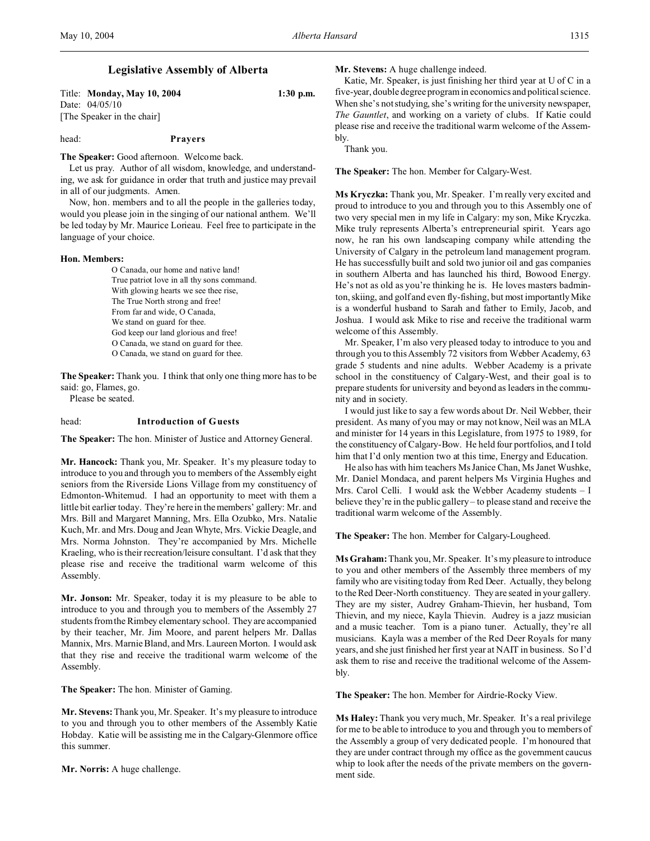# **Legislative Assembly of Alberta**

Title: **Monday, May 10, 2004 1:30 p.m.** Date: 04/05/10 [The Speaker in the chair]

# head: **Prayers**

**The Speaker:** Good afternoon. Welcome back.

Let us pray. Author of all wisdom, knowledge, and understanding, we ask for guidance in order that truth and justice may prevail in all of our judgments. Amen.

Now, hon. members and to all the people in the galleries today, would you please join in the singing of our national anthem. We'll be led today by Mr. Maurice Lorieau. Feel free to participate in the language of your choice.

#### **Hon. Members:**

O Canada, our home and native land! True patriot love in all thy sons command. With glowing hearts we see thee rise, The True North strong and free! From far and wide, O Canada, We stand on guard for thee. God keep our land glorious and free! O Canada, we stand on guard for thee. O Canada, we stand on guard for thee.

**The Speaker:** Thank you. I think that only one thing more has to be said: go, Flames, go.

Please be seated.

#### head: **Introduction of Guests**

**The Speaker:** The hon. Minister of Justice and Attorney General.

**Mr. Hancock:** Thank you, Mr. Speaker. It's my pleasure today to introduce to you and through you to members of the Assembly eight seniors from the Riverside Lions Village from my constituency of Edmonton-Whitemud. I had an opportunity to meet with them a little bit earlier today. They're here in the members' gallery: Mr. and Mrs. Bill and Margaret Manning, Mrs. Ella Ozubko, Mrs. Natalie Kuch, Mr. and Mrs. Doug and Jean Whyte, Mrs. Vickie Deagle, and Mrs. Norma Johnston. They're accompanied by Mrs. Michelle Kraeling, who is their recreation/leisure consultant. I'd ask that they please rise and receive the traditional warm welcome of this Assembly.

**Mr. Jonson:** Mr. Speaker, today it is my pleasure to be able to introduce to you and through you to members of the Assembly 27 students from the Rimbey elementary school. They are accompanied by their teacher, Mr. Jim Moore, and parent helpers Mr. Dallas Mannix, Mrs. Marnie Bland, and Mrs. Laureen Morton. I would ask that they rise and receive the traditional warm welcome of the Assembly.

**The Speaker:** The hon. Minister of Gaming.

**Mr. Stevens:**Thank you, Mr. Speaker. It's my pleasure to introduce to you and through you to other members of the Assembly Katie Hobday. Katie will be assisting me in the Calgary-Glenmore office this summer.

**Mr. Norris:** A huge challenge.

**Mr. Stevens:** A huge challenge indeed.

Katie, Mr. Speaker, is just finishing her third year at U of C in a five-year, double degree program in economics and political science. When she's not studying, she's writing for the university newspaper, *The Gauntlet*, and working on a variety of clubs. If Katie could please rise and receive the traditional warm welcome of the Assembly.

Thank you.

**The Speaker:** The hon. Member for Calgary-West.

**Ms Kryczka:** Thank you, Mr. Speaker. I'm really very excited and proud to introduce to you and through you to this Assembly one of two very special men in my life in Calgary: my son, Mike Kryczka. Mike truly represents Alberta's entrepreneurial spirit. Years ago now, he ran his own landscaping company while attending the University of Calgary in the petroleum land management program. He has successfully built and sold two junior oil and gas companies in southern Alberta and has launched his third, Bowood Energy. He's not as old as you're thinking he is. He loves masters badminton, skiing, and golf and even fly-fishing, but most importantly Mike is a wonderful husband to Sarah and father to Emily, Jacob, and Joshua. I would ask Mike to rise and receive the traditional warm welcome of this Assembly.

Mr. Speaker, I'm also very pleased today to introduce to you and through you to this Assembly 72 visitors from Webber Academy, 63 grade 5 students and nine adults. Webber Academy is a private school in the constituency of Calgary-West, and their goal is to prepare students for university and beyond as leaders in the community and in society.

I would just like to say a few words about Dr. Neil Webber, their president. As many of you may or may not know, Neil was an MLA and minister for 14 years in this Legislature, from 1975 to 1989, for the constituency of Calgary-Bow. He held four portfolios, and I told him that I'd only mention two at this time, Energy and Education.

He also has with him teachers Ms Janice Chan, Ms Janet Wushke, Mr. Daniel Mondaca, and parent helpers Ms Virginia Hughes and Mrs. Carol Celli. I would ask the Webber Academy students – I believe they're in the public gallery – to please stand and receive the traditional warm welcome of the Assembly.

**The Speaker:** The hon. Member for Calgary-Lougheed.

**Ms Graham:** Thank you, Mr. Speaker. It's my pleasure to introduce to you and other members of the Assembly three members of my family who are visiting today from Red Deer. Actually, they belong to the Red Deer-North constituency. They are seated in your gallery. They are my sister, Audrey Graham-Thievin, her husband, Tom Thievin, and my niece, Kayla Thievin. Audrey is a jazz musician and a music teacher. Tom is a piano tuner. Actually, they're all musicians. Kayla was a member of the Red Deer Royals for many years, and she just finished her first year at NAIT in business. So I'd ask them to rise and receive the traditional welcome of the Assembly.

**The Speaker:** The hon. Member for Airdrie-Rocky View.

**Ms Haley:** Thank you very much, Mr. Speaker. It's a real privilege for me to be able to introduce to you and through you to members of the Assembly a group of very dedicated people. I'm honoured that they are under contract through my office as the government caucus whip to look after the needs of the private members on the government side.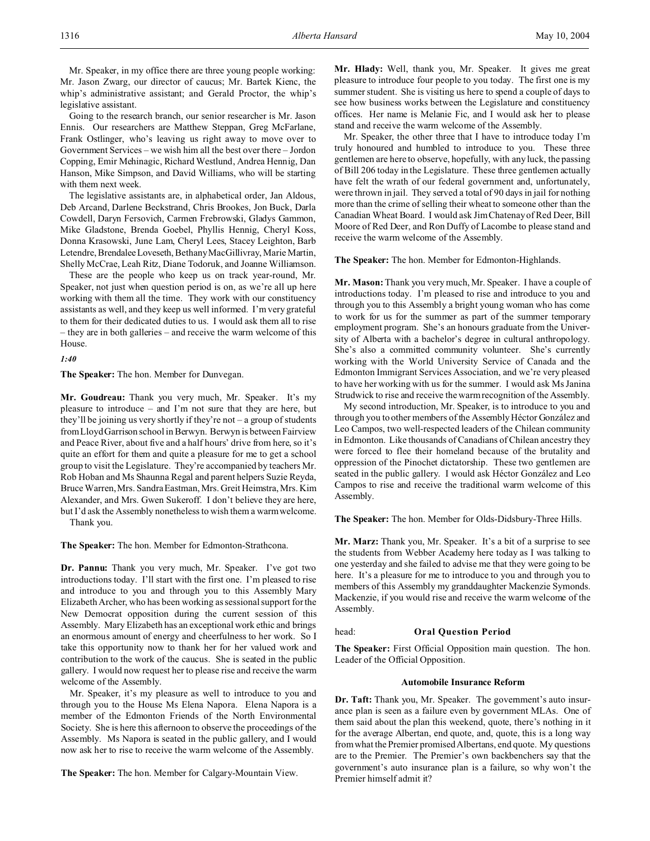Mr. Speaker, in my office there are three young people working: Mr. Jason Zwarg, our director of caucus; Mr. Bartek Kienc, the whip's administrative assistant; and Gerald Proctor, the whip's legislative assistant.

Going to the research branch, our senior researcher is Mr. Jason Ennis. Our researchers are Matthew Steppan, Greg McFarlane, Frank Ostlinger, who's leaving us right away to move over to Government Services – we wish him all the best over there – Jordon Copping, Emir Mehinagic, Richard Westlund, Andrea Hennig, Dan Hanson, Mike Simpson, and David Williams, who will be starting with them next week.

The legislative assistants are, in alphabetical order, Jan Aldous, Deb Arcand, Darlene Beckstrand, Chris Brookes, Jon Buck, Darla Cowdell, Daryn Fersovich, Carmen Frebrowski, Gladys Gammon, Mike Gladstone, Brenda Goebel, Phyllis Hennig, Cheryl Koss, Donna Krasowski, June Lam, Cheryl Lees, Stacey Leighton, Barb Letendre, BrendaleeLoveseth, Bethany MacGillivray, Marie Martin, Shelly McCrae, Leah Ritz, Diane Todoruk, and Joanne Williamson.

These are the people who keep us on track year-round, Mr. Speaker, not just when question period is on, as we're all up here working with them all the time. They work with our constituency assistants as well, and they keep us well informed. I'm very grateful to them for their dedicated duties to us. I would ask them all to rise – they are in both galleries – and receive the warm welcome of this House.

*1:40*

**The Speaker:** The hon. Member for Dunvegan.

**Mr. Goudreau:** Thank you very much, Mr. Speaker. It's my pleasure to introduce – and I'm not sure that they are here, but they'll be joining us very shortly if they're not  $-$  a group of students from Lloyd Garrison school in Berwyn. Berwyn is between Fairview and Peace River, about five and a half hours' drive from here, so it's quite an effort for them and quite a pleasure for me to get a school group to visit the Legislature. They're accompanied by teachers Mr. Rob Hoban and Ms Shaunna Regal and parent helpers Suzie Reyda, Bruce Warren, Mrs. Sandra Eastman, Mrs. Greit Heimstra, Mrs. Kim Alexander, and Mrs. Gwen Sukeroff. I don't believe they are here, but I'd ask the Assembly nonetheless to wish them a warm welcome. Thank you.

**The Speaker:** The hon. Member for Edmonton-Strathcona.

**Dr. Pannu:** Thank you very much, Mr. Speaker. I've got two introductions today. I'll start with the first one. I'm pleased to rise and introduce to you and through you to this Assembly Mary Elizabeth Archer, who has been working as sessional support for the New Democrat opposition during the current session of this Assembly. Mary Elizabeth has an exceptional work ethic and brings an enormous amount of energy and cheerfulness to her work. So I take this opportunity now to thank her for her valued work and contribution to the work of the caucus. She is seated in the public gallery. I would now request her to please rise and receive the warm welcome of the Assembly.

Mr. Speaker, it's my pleasure as well to introduce to you and through you to the House Ms Elena Napora. Elena Napora is a member of the Edmonton Friends of the North Environmental Society. She is here this afternoon to observe the proceedings of the Assembly. Ms Napora is seated in the public gallery, and I would now ask her to rise to receive the warm welcome of the Assembly.

**The Speaker:** The hon. Member for Calgary-Mountain View.

**Mr. Hlady:** Well, thank you, Mr. Speaker. It gives me great pleasure to introduce four people to you today. The first one is my summer student. She is visiting us here to spend a couple of days to see how business works between the Legislature and constituency offices. Her name is Melanie Fic, and I would ask her to please stand and receive the warm welcome of the Assembly.

Mr. Speaker, the other three that I have to introduce today I'm truly honoured and humbled to introduce to you. These three gentlemen are here to observe, hopefully, with any luck, the passing of Bill 206 today in the Legislature. These three gentlemen actually have felt the wrath of our federal government and, unfortunately, were thrown in jail. They served a total of 90 days in jail for nothing more than the crime of selling their wheat to someone other than the Canadian Wheat Board. I would ask Jim Chatenay of Red Deer, Bill Moore of Red Deer, and Ron Duffy of Lacombe to please stand and receive the warm welcome of the Assembly.

**The Speaker:** The hon. Member for Edmonton-Highlands.

**Mr. Mason:** Thank you very much, Mr. Speaker. I have a couple of introductions today. I'm pleased to rise and introduce to you and through you to this Assembly a bright young woman who has come to work for us for the summer as part of the summer temporary employment program. She's an honours graduate from the University of Alberta with a bachelor's degree in cultural anthropology. She's also a committed community volunteer. She's currently working with the World University Service of Canada and the Edmonton Immigrant Services Association, and we're very pleased to have her working with us for the summer. I would ask Ms Janina Strudwick to rise and receive the warm recognition of the Assembly.

My second introduction, Mr. Speaker, is to introduce to you and through you to other members of the Assembly Héctor González and Leo Campos, two well-respected leaders of the Chilean community in Edmonton. Like thousands of Canadians of Chilean ancestry they were forced to flee their homeland because of the brutality and oppression of the Pinochet dictatorship. These two gentlemen are seated in the public gallery. I would ask Héctor González and Leo Campos to rise and receive the traditional warm welcome of this Assembly.

**The Speaker:** The hon. Member for Olds-Didsbury-Three Hills.

**Mr. Marz:** Thank you, Mr. Speaker. It's a bit of a surprise to see the students from Webber Academy here today as I was talking to one yesterday and she failed to advise me that they were going to be here. It's a pleasure for me to introduce to you and through you to members of this Assembly my granddaughter Mackenzie Symonds. Mackenzie, if you would rise and receive the warm welcome of the Assembly.

#### head: **Oral Question Period**

**The Speaker:** First Official Opposition main question. The hon. Leader of the Official Opposition.

#### **Automobile Insurance Reform**

**Dr. Taft:** Thank you, Mr. Speaker. The government's auto insurance plan is seen as a failure even by government MLAs. One of them said about the plan this weekend, quote, there's nothing in it for the average Albertan, end quote, and, quote, this is a long way from what the Premier promised Albertans, end quote. My questions are to the Premier. The Premier's own backbenchers say that the government's auto insurance plan is a failure, so why won't the Premier himself admit it?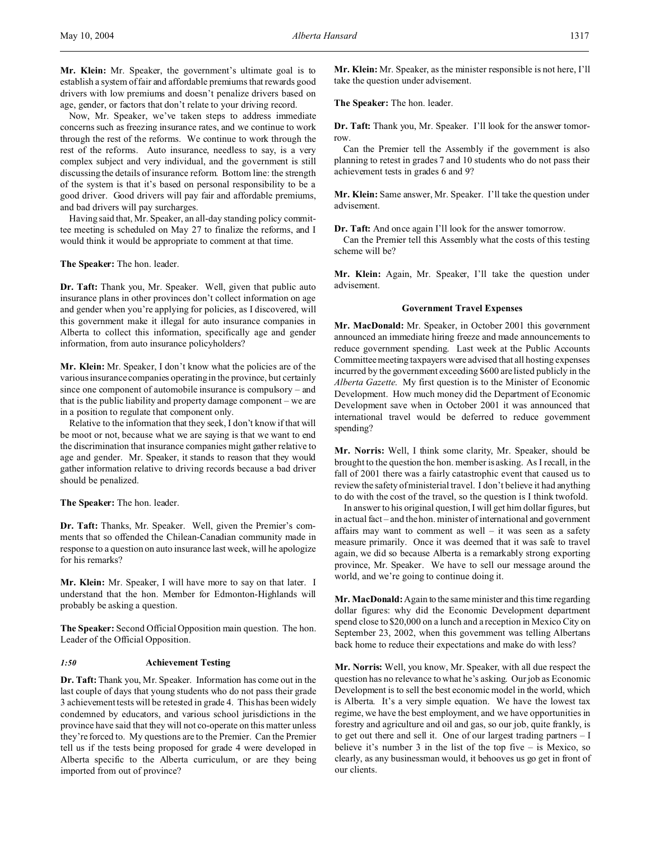**Mr. Klein:** Mr. Speaker, the government's ultimate goal is to establish a system of fair and affordable premiums that rewards good drivers with low premiums and doesn't penalize drivers based on age, gender, or factors that don't relate to your driving record.

Now, Mr. Speaker, we've taken steps to address immediate concerns such as freezing insurance rates, and we continue to work through the rest of the reforms. We continue to work through the rest of the reforms. Auto insurance, needless to say, is a very complex subject and very individual, and the government is still discussing the details of insurance reform. Bottom line: the strength of the system is that it's based on personal responsibility to be a good driver. Good drivers will pay fair and affordable premiums, and bad drivers will pay surcharges.

Having said that, Mr. Speaker, an all-day standing policy committee meeting is scheduled on May 27 to finalize the reforms, and I would think it would be appropriate to comment at that time.

**The Speaker:** The hon. leader.

**Dr. Taft:** Thank you, Mr. Speaker. Well, given that public auto insurance plans in other provinces don't collect information on age and gender when you're applying for policies, as I discovered, will this government make it illegal for auto insurance companies in Alberta to collect this information, specifically age and gender information, from auto insurance policyholders?

**Mr. Klein:** Mr. Speaker, I don't know what the policies are of the various insurance companies operating in the province, but certainly since one component of automobile insurance is compulsory – and that is the public liability and property damage component – we are in a position to regulate that component only.

Relative to the information that they seek, I don't know if that will be moot or not, because what we are saying is that we want to end the discrimination that insurance companies might gather relative to age and gender. Mr. Speaker, it stands to reason that they would gather information relative to driving records because a bad driver should be penalized.

**The Speaker:** The hon. leader.

**Dr. Taft:** Thanks, Mr. Speaker. Well, given the Premier's comments that so offended the Chilean-Canadian community made in response to a question on auto insurance last week, will he apologize for his remarks?

**Mr. Klein:** Mr. Speaker, I will have more to say on that later. I understand that the hon. Member for Edmonton-Highlands will probably be asking a question.

**The Speaker:** Second Official Opposition main question. The hon. Leader of the Official Opposition.

#### *1:50* **Achievement Testing**

**Dr. Taft:** Thank you, Mr. Speaker. Information has come out in the last couple of days that young students who do not pass their grade 3 achievement tests will be retested in grade 4. This has been widely condemned by educators, and various school jurisdictions in the province have said that they will not co-operate on this matter unless they're forced to. My questions are to the Premier. Can the Premier tell us if the tests being proposed for grade 4 were developed in Alberta specific to the Alberta curriculum, or are they being imported from out of province?

**Mr. Klein:** Mr. Speaker, as the minister responsible is not here, I'll take the question under advisement.

**The Speaker:** The hon. leader.

**Dr. Taft:** Thank you, Mr. Speaker. I'll look for the answer tomorrow.

Can the Premier tell the Assembly if the government is also planning to retest in grades 7 and 10 students who do not pass their achievement tests in grades 6 and 9?

**Mr. Klein:** Same answer, Mr. Speaker. I'll take the question under advisement.

**Dr. Taft:** And once again I'll look for the answer tomorrow.

Can the Premier tell this Assembly what the costs of this testing scheme will be?

**Mr. Klein:** Again, Mr. Speaker, I'll take the question under advisement.

#### **Government Travel Expenses**

**Mr. MacDonald:** Mr. Speaker, in October 2001 this government announced an immediate hiring freeze and made announcements to reduce government spending. Last week at the Public Accounts Committee meeting taxpayers were advised that all hosting expenses incurred by the government exceeding \$600 are listed publicly in the *Alberta Gazette*. My first question is to the Minister of Economic Development. How much money did the Department of Economic Development save when in October 2001 it was announced that international travel would be deferred to reduce government spending?

**Mr. Norris:** Well, I think some clarity, Mr. Speaker, should be brought to the question the hon. member is asking. As I recall, in the fall of 2001 there was a fairly catastrophic event that caused us to review the safety of ministerial travel. I don't believe it had anything to do with the cost of the travel, so the question is I think twofold.

In answer to his original question, I will get him dollar figures, but in actual fact – and the hon. minister of international and government affairs may want to comment as well – it was seen as a safety measure primarily. Once it was deemed that it was safe to travel again, we did so because Alberta is a remarkably strong exporting province, Mr. Speaker. We have to sell our message around the world, and we're going to continue doing it.

**Mr. MacDonald:** Again to the same minister and this time regarding dollar figures: why did the Economic Development department spend close to \$20,000 on a lunch and a reception in Mexico City on September 23, 2002, when this government was telling Albertans back home to reduce their expectations and make do with less?

**Mr. Norris:** Well, you know, Mr. Speaker, with all due respect the question has no relevance to what he's asking. Our job as Economic Development is to sell the best economic model in the world, which is Alberta. It's a very simple equation. We have the lowest tax regime, we have the best employment, and we have opportunities in forestry and agriculture and oil and gas, so our job, quite frankly, is to get out there and sell it. One of our largest trading partners – I believe it's number  $3$  in the list of the top five – is Mexico, so clearly, as any businessman would, it behooves us go get in front of our clients.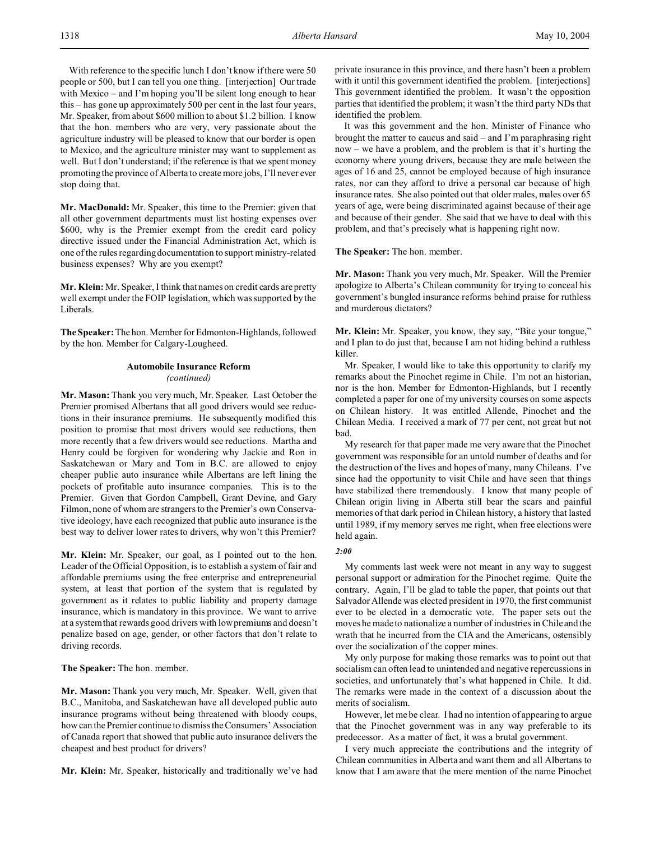With reference to the specific lunch I don't know if there were 50 people or 500, but I can tell you one thing. [interjection] Our trade with Mexico – and I'm hoping you'll be silent long enough to hear this – has gone up approximately 500 per cent in the last four years, Mr. Speaker, from about \$600 million to about \$1.2 billion. I know that the hon. members who are very, very passionate about the agriculture industry will be pleased to know that our border is open to Mexico, and the agriculture minister may want to supplement as well. But I don't understand; if the reference is that we spent money promoting the province of Alberta to create more jobs, I'll never ever stop doing that.

**Mr. MacDonald:** Mr. Speaker, this time to the Premier: given that all other government departments must list hosting expenses over \$600, why is the Premier exempt from the credit card policy directive issued under the Financial Administration Act, which is one of the rules regarding documentation to support ministry-related business expenses? Why are you exempt?

**Mr. Klein:** Mr. Speaker, I think that names on credit cards are pretty well exempt under the FOIP legislation, which was supported by the Liberals.

**The Speaker:** The hon. Member for Edmonton-Highlands, followed by the hon. Member for Calgary-Lougheed.

# **Automobile Insurance Reform** *(continued)*

**Mr. Mason:** Thank you very much, Mr. Speaker. Last October the Premier promised Albertans that all good drivers would see reductions in their insurance premiums. He subsequently modified this position to promise that most drivers would see reductions, then more recently that a few drivers would see reductions. Martha and Henry could be forgiven for wondering why Jackie and Ron in Saskatchewan or Mary and Tom in B.C. are allowed to enjoy cheaper public auto insurance while Albertans are left lining the pockets of profitable auto insurance companies. This is to the Premier. Given that Gordon Campbell, Grant Devine, and Gary Filmon, none of whom are strangers to the Premier's own Conservative ideology, have each recognized that public auto insurance is the best way to deliver lower rates to drivers, why won't this Premier?

**Mr. Klein:** Mr. Speaker, our goal, as I pointed out to the hon. Leader of the Official Opposition, is to establish a system of fair and affordable premiums using the free enterprise and entrepreneurial system, at least that portion of the system that is regulated by government as it relates to public liability and property damage insurance, which is mandatory in this province. We want to arrive at a system that rewards good drivers with low premiums and doesn't penalize based on age, gender, or other factors that don't relate to driving records.

**The Speaker:** The hon. member.

**Mr. Mason:** Thank you very much, Mr. Speaker. Well, given that B.C., Manitoba, and Saskatchewan have all developed public auto insurance programs without being threatened with bloody coups, how can the Premier continue to dismiss the Consumers' Association of Canada report that showed that public auto insurance delivers the cheapest and best product for drivers?

**Mr. Klein:** Mr. Speaker, historically and traditionally we've had

private insurance in this province, and there hasn't been a problem with it until this government identified the problem. [interjections] This government identified the problem. It wasn't the opposition parties that identified the problem; it wasn't the third party NDs that identified the problem.

It was this government and the hon. Minister of Finance who brought the matter to caucus and said – and I'm paraphrasing right now – we have a problem, and the problem is that it's hurting the economy where young drivers, because they are male between the ages of 16 and 25, cannot be employed because of high insurance rates, nor can they afford to drive a personal car because of high insurance rates. She also pointed out that older males, males over 65 years of age, were being discriminated against because of their age and because of their gender. She said that we have to deal with this problem, and that's precisely what is happening right now.

**The Speaker:** The hon. member.

**Mr. Mason:** Thank you very much, Mr. Speaker. Will the Premier apologize to Alberta's Chilean community for trying to conceal his government's bungled insurance reforms behind praise for ruthless and murderous dictators?

**Mr. Klein:** Mr. Speaker, you know, they say, "Bite your tongue," and I plan to do just that, because I am not hiding behind a ruthless killer.

Mr. Speaker, I would like to take this opportunity to clarify my remarks about the Pinochet regime in Chile. I'm not an historian, nor is the hon. Member for Edmonton-Highlands, but I recently completed a paper for one of my university courses on some aspects on Chilean history. It was entitled Allende, Pinochet and the Chilean Media. I received a mark of 77 per cent, not great but not bad.

My research for that paper made me very aware that the Pinochet government was responsible for an untold number of deaths and for the destruction of the lives and hopes of many, many Chileans. I've since had the opportunity to visit Chile and have seen that things have stabilized there tremendously. I know that many people of Chilean origin living in Alberta still bear the scars and painful memories of that dark period in Chilean history, a history that lasted until 1989, if my memory serves me right, when free elections were held again.

#### *2:00*

My comments last week were not meant in any way to suggest personal support or admiration for the Pinochet regime. Quite the contrary. Again, I'll be glad to table the paper, that points out that Salvador Allende was elected president in 1970, the first communist ever to be elected in a democratic vote. The paper sets out the moves he made to nationalize a number of industries in Chile and the wrath that he incurred from the CIA and the Americans, ostensibly over the socialization of the copper mines.

My only purpose for making those remarks was to point out that socialism can often lead to unintended and negative repercussions in societies, and unfortunately that's what happened in Chile. It did. The remarks were made in the context of a discussion about the merits of socialism.

However, let me be clear. I had no intention of appearing to argue that the Pinochet government was in any way preferable to its predecessor. As a matter of fact, it was a brutal government.

I very much appreciate the contributions and the integrity of Chilean communities in Alberta and want them and all Albertans to know that I am aware that the mere mention of the name Pinochet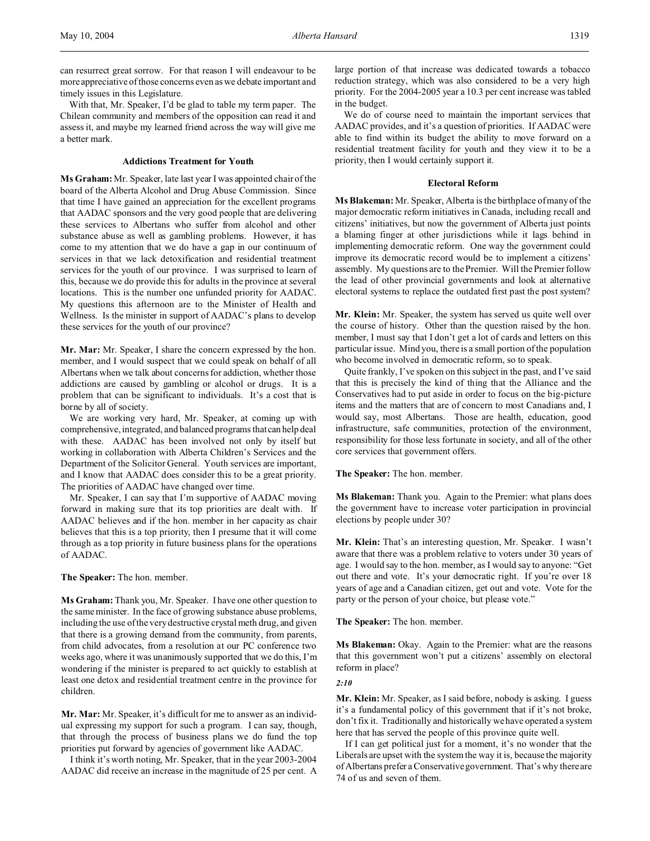can resurrect great sorrow. For that reason I will endeavour to be more appreciative of those concerns even as we debate important and timely issues in this Legislature.

With that, Mr. Speaker, I'd be glad to table my term paper. The Chilean community and members of the opposition can read it and assess it, and maybe my learned friend across the way will give me a better mark.

### **Addictions Treatment for Youth**

**Ms Graham:** Mr. Speaker, late last year I was appointed chair of the board of the Alberta Alcohol and Drug Abuse Commission. Since that time I have gained an appreciation for the excellent programs that AADAC sponsors and the very good people that are delivering these services to Albertans who suffer from alcohol and other substance abuse as well as gambling problems. However, it has come to my attention that we do have a gap in our continuum of services in that we lack detoxification and residential treatment services for the youth of our province. I was surprised to learn of this, because we do provide this for adults in the province at several locations. This is the number one unfunded priority for AADAC. My questions this afternoon are to the Minister of Health and Wellness. Is the minister in support of AADAC's plans to develop these services for the youth of our province?

**Mr. Mar:** Mr. Speaker, I share the concern expressed by the hon. member, and I would suspect that we could speak on behalf of all Albertans when we talk about concerns for addiction, whether those addictions are caused by gambling or alcohol or drugs. It is a problem that can be significant to individuals. It's a cost that is borne by all of society.

We are working very hard, Mr. Speaker, at coming up with comprehensive, integrated, and balanced programs thatcan help deal with these. AADAC has been involved not only by itself but working in collaboration with Alberta Children's Services and the Department of the Solicitor General. Youth services are important, and I know that AADAC does consider this to be a great priority. The priorities of AADAC have changed over time.

Mr. Speaker, I can say that I'm supportive of AADAC moving forward in making sure that its top priorities are dealt with. If AADAC believes and if the hon. member in her capacity as chair believes that this is a top priority, then I presume that it will come through as a top priority in future business plans for the operations of AADAC.

**The Speaker:** The hon. member.

**Ms Graham:** Thank you, Mr. Speaker. I have one other question to the same minister. In the face of growing substance abuse problems, including the use of the very destructive crystal meth drug, and given that there is a growing demand from the community, from parents, from child advocates, from a resolution at our PC conference two weeks ago, where it was unanimously supported that we do this, I'm wondering if the minister is prepared to act quickly to establish at least one detox and residential treatment centre in the province for children.

**Mr. Mar:** Mr. Speaker, it's difficult for me to answer as an individual expressing my support for such a program. I can say, though, that through the process of business plans we do fund the top priorities put forward by agencies of government like AADAC.

I think it's worth noting, Mr. Speaker, that in the year 2003-2004 AADAC did receive an increase in the magnitude of 25 per cent. A

large portion of that increase was dedicated towards a tobacco reduction strategy, which was also considered to be a very high priority. For the 2004-2005 year a 10.3 per cent increase was tabled in the budget.

We do of course need to maintain the important services that AADAC provides, and it's a question of priorities. If AADAC were able to find within its budget the ability to move forward on a residential treatment facility for youth and they view it to be a priority, then I would certainly support it.

#### **Electoral Reform**

**Ms Blakeman:** Mr. Speaker, Alberta is the birthplace of many of the major democratic reform initiatives in Canada, including recall and citizens' initiatives, but now the government of Alberta just points a blaming finger at other jurisdictions while it lags behind in implementing democratic reform. One way the government could improve its democratic record would be to implement a citizens' assembly. My questions are to the Premier. Will the Premier follow the lead of other provincial governments and look at alternative electoral systems to replace the outdated first past the post system?

**Mr. Klein:** Mr. Speaker, the system has served us quite well over the course of history. Other than the question raised by the hon. member, I must say that I don't get a lot of cards and letters on this particular issue. Mind you, there is a small portion of the population who become involved in democratic reform, so to speak.

Quite frankly, I've spoken on this subject in the past, and I've said that this is precisely the kind of thing that the Alliance and the Conservatives had to put aside in order to focus on the big-picture items and the matters that are of concern to most Canadians and, I would say, most Albertans. Those are health, education, good infrastructure, safe communities, protection of the environment, responsibility for those less fortunate in society, and all of the other core services that government offers.

**The Speaker:** The hon. member.

**Ms Blakeman:** Thank you. Again to the Premier: what plans does the government have to increase voter participation in provincial elections by people under 30?

**Mr. Klein:** That's an interesting question, Mr. Speaker. I wasn't aware that there was a problem relative to voters under 30 years of age. I would say to the hon. member, as I would say to anyone: "Get out there and vote. It's your democratic right. If you're over 18 years of age and a Canadian citizen, get out and vote. Vote for the party or the person of your choice, but please vote."

**The Speaker:** The hon. member.

**Ms Blakeman:** Okay. Again to the Premier: what are the reasons that this government won't put a citizens' assembly on electoral reform in place?

# *2:10*

**Mr. Klein:** Mr. Speaker, as I said before, nobody is asking. I guess it's a fundamental policy of this government that if it's not broke, don't fix it. Traditionally and historically we have operated a system here that has served the people of this province quite well.

If I can get political just for a moment, it's no wonder that the Liberals are upset with the system the way it is, because the majority of Albertans prefer a Conservative government. That's why there are 74 of us and seven of them.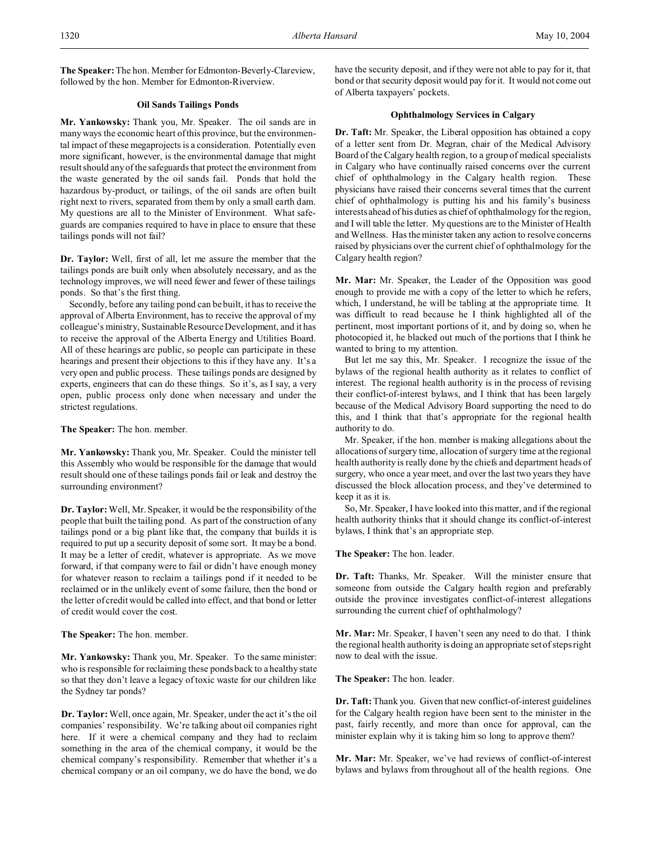**The Speaker:**The hon. Member for Edmonton-Beverly-Clareview, followed by the hon. Member for Edmonton-Riverview.

# **Oil Sands Tailings Ponds**

**Mr. Yankowsky:** Thank you, Mr. Speaker. The oil sands are in many ways the economic heart of this province, but the environmental impact of these megaprojects is a consideration. Potentially even more significant, however, is the environmental damage that might result should any of the safeguards that protect the environment from the waste generated by the oil sands fail. Ponds that hold the hazardous by-product, or tailings, of the oil sands are often built right next to rivers, separated from them by only a small earth dam. My questions are all to the Minister of Environment. What safeguards are companies required to have in place to ensure that these tailings ponds will not fail?

**Dr. Taylor:** Well, first of all, let me assure the member that the tailings ponds are built only when absolutely necessary, and as the technology improves, we will need fewer and fewer of these tailings ponds. So that's the first thing.

Secondly, before any tailing pond can be built, it has to receive the approval of Alberta Environment, has to receive the approval of my colleague's ministry, Sustainable Resource Development, and it has to receive the approval of the Alberta Energy and Utilities Board. All of these hearings are public, so people can participate in these hearings and present their objections to this if they have any. It's a very open and public process. These tailings ponds are designed by experts, engineers that can do these things. So it's, as I say, a very open, public process only done when necessary and under the strictest regulations.

**The Speaker:** The hon. member.

**Mr. Yankowsky:** Thank you, Mr. Speaker. Could the minister tell this Assembly who would be responsible for the damage that would result should one of these tailings ponds fail or leak and destroy the surrounding environment?

**Dr. Taylor:**Well, Mr. Speaker, it would be the responsibility of the people that built the tailing pond. As part of the construction of any tailings pond or a big plant like that, the company that builds it is required to put up a security deposit of some sort. It may be a bond. It may be a letter of credit, whatever is appropriate. As we move forward, if that company were to fail or didn't have enough money for whatever reason to reclaim a tailings pond if it needed to be reclaimed or in the unlikely event of some failure, then the bond or the letter of credit would be called into effect, and that bond or letter of credit would cover the cost.

**The Speaker:** The hon. member.

**Mr. Yankowsky:** Thank you, Mr. Speaker. To the same minister: who is responsible for reclaiming these ponds back to a healthy state so that they don't leave a legacy of toxic waste for our children like the Sydney tar ponds?

**Dr. Taylor:** Well, once again, Mr. Speaker, under the act it's the oil companies' responsibility. We're talking about oil companies right here. If it were a chemical company and they had to reclaim something in the area of the chemical company, it would be the chemical company's responsibility. Remember that whether it's a chemical company or an oil company, we do have the bond, we do have the security deposit, and if they were not able to pay for it, that bond or that security deposit would pay for it. It would not come out of Alberta taxpayers' pockets.

### **Ophthalmology Services in Calgary**

**Dr. Taft:** Mr. Speaker, the Liberal opposition has obtained a copy of a letter sent from Dr. Megran, chair of the Medical Advisory Board of the Calgary health region, to a group of medical specialists in Calgary who have continually raised concerns over the current chief of ophthalmology in the Calgary health region. These physicians have raised their concerns several times that the current chief of ophthalmology is putting his and his family's business interests ahead of his duties as chief of ophthalmology for the region, and I will table the letter. My questions are to the Minister of Health and Wellness. Has the minister taken any action to resolve concerns raised by physicians over the current chief of ophthalmology for the Calgary health region?

**Mr. Mar:** Mr. Speaker, the Leader of the Opposition was good enough to provide me with a copy of the letter to which he refers, which, I understand, he will be tabling at the appropriate time. It was difficult to read because he I think highlighted all of the pertinent, most important portions of it, and by doing so, when he photocopied it, he blacked out much of the portions that I think he wanted to bring to my attention.

But let me say this, Mr. Speaker. I recognize the issue of the bylaws of the regional health authority as it relates to conflict of interest. The regional health authority is in the process of revising their conflict-of-interest bylaws, and I think that has been largely because of the Medical Advisory Board supporting the need to do this, and I think that that's appropriate for the regional health authority to do.

Mr. Speaker, if the hon. member is making allegations about the allocations of surgery time, allocation of surgery time at the regional health authority is really done by the chiefs and department heads of surgery, who once a year meet, and over the last two years they have discussed the block allocation process, and they've determined to keep it as it is.

So, Mr. Speaker, I have looked into this matter, and if the regional health authority thinks that it should change its conflict-of-interest bylaws, I think that's an appropriate step.

**The Speaker:** The hon. leader.

**Dr. Taft:** Thanks, Mr. Speaker. Will the minister ensure that someone from outside the Calgary health region and preferably outside the province investigates conflict-of-interest allegations surrounding the current chief of ophthalmology?

**Mr. Mar:** Mr. Speaker, I haven't seen any need to do that. I think the regional health authority is doing an appropriate set of steps right now to deal with the issue.

**The Speaker:** The hon. leader.

**Dr. Taft:** Thank you. Given that new conflict-of-interest guidelines for the Calgary health region have been sent to the minister in the past, fairly recently, and more than once for approval, can the minister explain why it is taking him so long to approve them?

**Mr. Mar:** Mr. Speaker, we've had reviews of conflict-of-interest bylaws and bylaws from throughout all of the health regions. One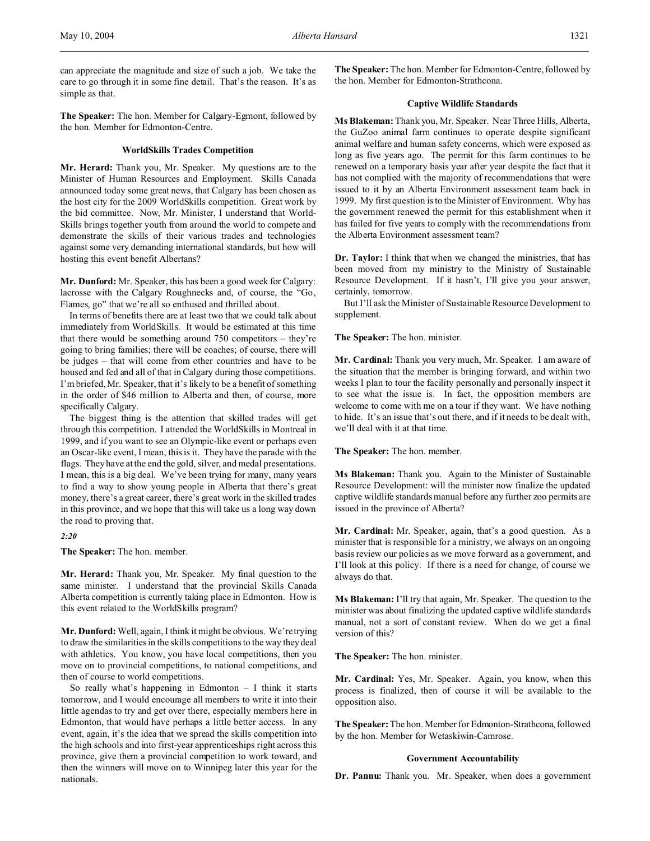can appreciate the magnitude and size of such a job. We take the care to go through it in some fine detail. That's the reason. It's as simple as that.

**The Speaker:** The hon. Member for Calgary-Egmont, followed by the hon. Member for Edmonton-Centre.

### **WorldSkills Trades Competition**

**Mr. Herard:** Thank you, Mr. Speaker. My questions are to the Minister of Human Resources and Employment. Skills Canada announced today some great news, that Calgary has been chosen as the host city for the 2009 WorldSkills competition. Great work by the bid committee. Now, Mr. Minister, I understand that World-Skills brings together youth from around the world to compete and demonstrate the skills of their various trades and technologies against some very demanding international standards, but how will hosting this event benefit Albertans?

**Mr. Dunford:** Mr. Speaker, this has been a good week for Calgary: lacrosse with the Calgary Roughnecks and, of course, the "Go, Flames, go" that we're all so enthused and thrilled about.

In terms of benefits there are at least two that we could talk about immediately from WorldSkills. It would be estimated at this time that there would be something around 750 competitors – they're going to bring families; there will be coaches; of course, there will be judges – that will come from other countries and have to be housed and fed and all of that in Calgary during those competitions. I'm briefed, Mr. Speaker, that it's likely to be a benefit of something in the order of \$46 million to Alberta and then, of course, more specifically Calgary.

The biggest thing is the attention that skilled trades will get through this competition. I attended the WorldSkills in Montreal in 1999, and if you want to see an Olympic-like event or perhaps even an Oscar-like event, I mean, this is it. They have the parade with the flags. They have at the end the gold, silver, and medal presentations. I mean, this is a big deal. We've been trying for many, many years to find a way to show young people in Alberta that there's great money, there's a great career, there's great work in the skilled trades in this province, and we hope that this will take us a long way down the road to proving that.

### *2:20*

**The Speaker:** The hon. member.

**Mr. Herard:** Thank you, Mr. Speaker. My final question to the same minister. I understand that the provincial Skills Canada Alberta competition is currently taking place in Edmonton. How is this event related to the WorldSkills program?

**Mr. Dunford:** Well, again, I think it might be obvious. We're trying to draw the similarities in the skills competitions to the way they deal with athletics. You know, you have local competitions, then you move on to provincial competitions, to national competitions, and then of course to world competitions.

So really what's happening in Edmonton – I think it starts tomorrow, and I would encourage all members to write it into their little agendas to try and get over there, especially members here in Edmonton, that would have perhaps a little better access. In any event, again, it's the idea that we spread the skills competition into the high schools and into first-year apprenticeships right across this province, give them a provincial competition to work toward, and then the winners will move on to Winnipeg later this year for the nationals.

**The Speaker:** The hon. Member for Edmonton-Centre, followed by the hon. Member for Edmonton-Strathcona.

# **Captive Wildlife Standards**

**Ms Blakeman:** Thank you, Mr. Speaker. Near Three Hills, Alberta, the GuZoo animal farm continues to operate despite significant animal welfare and human safety concerns, which were exposed as long as five years ago. The permit for this farm continues to be renewed on a temporary basis year after year despite the fact that it has not complied with the majority of recommendations that were issued to it by an Alberta Environment assessment team back in 1999. My first question is to the Minister of Environment. Why has the government renewed the permit for this establishment when it has failed for five years to comply with the recommendations from the Alberta Environment assessment team?

**Dr. Taylor:** I think that when we changed the ministries, that has been moved from my ministry to the Ministry of Sustainable Resource Development. If it hasn't, I'll give you your answer, certainly, tomorrow.

But I'll ask the Minister of Sustainable Resource Development to supplement.

**The Speaker:** The hon. minister.

**Mr. Cardinal:** Thank you very much, Mr. Speaker. I am aware of the situation that the member is bringing forward, and within two weeks I plan to tour the facility personally and personally inspect it to see what the issue is. In fact, the opposition members are welcome to come with me on a tour if they want. We have nothing to hide. It's an issue that's out there, and if it needs to be dealt with, we'll deal with it at that time.

**The Speaker:** The hon. member.

**Ms Blakeman:** Thank you. Again to the Minister of Sustainable Resource Development: will the minister now finalize the updated captive wildlife standards manual before any further zoo permits are issued in the province of Alberta?

**Mr. Cardinal:** Mr. Speaker, again, that's a good question. As a minister that is responsible for a ministry, we always on an ongoing basis review our policies as we move forward as a government, and I'll look at this policy. If there is a need for change, of course we always do that.

**Ms Blakeman:** I'll try that again, Mr. Speaker. The question to the minister was about finalizing the updated captive wildlife standards manual, not a sort of constant review. When do we get a final version of this?

**The Speaker:** The hon. minister.

**Mr. Cardinal:** Yes, Mr. Speaker. Again, you know, when this process is finalized, then of course it will be available to the opposition also.

**The Speaker:** The hon. Member for Edmonton-Strathcona, followed by the hon. Member for Wetaskiwin-Camrose.

#### **Government Accountability**

**Dr. Pannu:** Thank you. Mr. Speaker, when does a government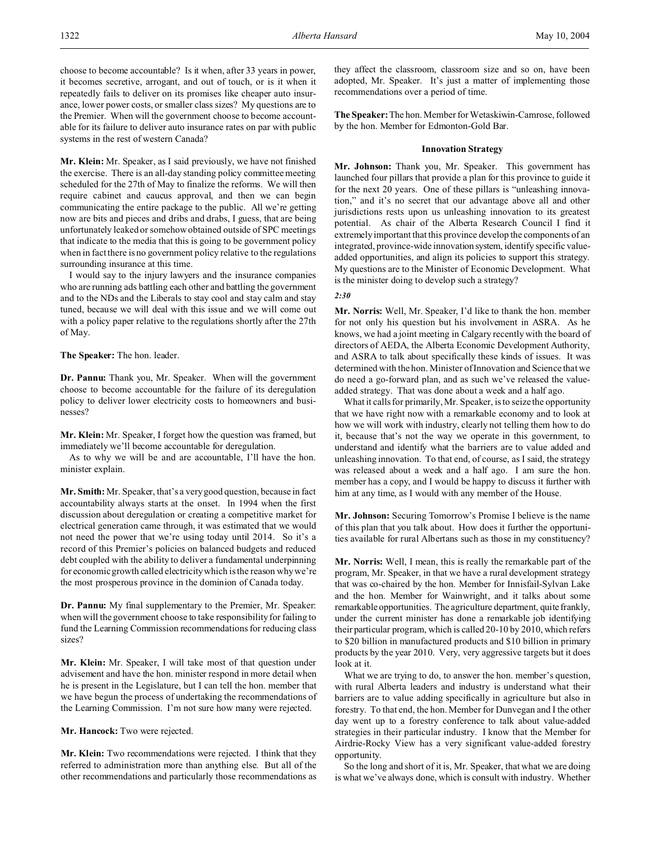choose to become accountable? Is it when, after 33 years in power, it becomes secretive, arrogant, and out of touch, or is it when it repeatedly fails to deliver on its promises like cheaper auto insurance, lower power costs, or smaller class sizes? My questions are to the Premier. When will the government choose to become accountable for its failure to deliver auto insurance rates on par with public systems in the rest of western Canada?

**Mr. Klein:** Mr. Speaker, as I said previously, we have not finished the exercise. There is an all-day standing policy committee meeting scheduled for the 27th of May to finalize the reforms. We will then require cabinet and caucus approval, and then we can begin communicating the entire package to the public. All we're getting now are bits and pieces and dribs and drabs, I guess, that are being unfortunately leaked or somehow obtained outside of SPC meetings that indicate to the media that this is going to be government policy when in fact there is no government policy relative to the regulations surrounding insurance at this time.

I would say to the injury lawyers and the insurance companies who are running ads battling each other and battling the government and to the NDs and the Liberals to stay cool and stay calm and stay tuned, because we will deal with this issue and we will come out with a policy paper relative to the regulations shortly after the 27th of May.

**The Speaker:** The hon. leader.

**Dr. Pannu:** Thank you, Mr. Speaker. When will the government choose to become accountable for the failure of its deregulation policy to deliver lower electricity costs to homeowners and businesses?

**Mr. Klein:** Mr. Speaker, I forget how the question was framed, but immediately we'll become accountable for deregulation.

As to why we will be and are accountable, I'll have the hon. minister explain.

**Mr. Smith:** Mr. Speaker, that's a very good question, because in fact accountability always starts at the onset. In 1994 when the first discussion about deregulation or creating a competitive market for electrical generation came through, it was estimated that we would not need the power that we're using today until 2014. So it's a record of this Premier's policies on balanced budgets and reduced debt coupled with the ability to deliver a fundamental underpinning for economic growth called electricity which is the reason why we're the most prosperous province in the dominion of Canada today.

**Dr. Pannu:** My final supplementary to the Premier, Mr. Speaker: when will the government choose to take responsibility for failing to fund the Learning Commission recommendations for reducing class sizes?

**Mr. Klein:** Mr. Speaker, I will take most of that question under advisement and have the hon. minister respond in more detail when he is present in the Legislature, but I can tell the hon. member that we have begun the process of undertaking the recommendations of the Learning Commission. I'm not sure how many were rejected.

**Mr. Hancock:** Two were rejected.

**Mr. Klein:** Two recommendations were rejected. I think that they referred to administration more than anything else. But all of the other recommendations and particularly those recommendations as they affect the classroom, classroom size and so on, have been adopted, Mr. Speaker. It's just a matter of implementing those recommendations over a period of time.

**The Speaker:**The hon. Member for Wetaskiwin-Camrose, followed by the hon. Member for Edmonton-Gold Bar.

### **Innovation Strategy**

**Mr. Johnson:** Thank you, Mr. Speaker. This government has launched four pillars that provide a plan for this province to guide it for the next 20 years. One of these pillars is "unleashing innovation," and it's no secret that our advantage above all and other jurisdictions rests upon us unleashing innovation to its greatest potential. As chair of the Alberta Research Council I find it extremely important that this province develop the components of an integrated, province-wide innovation system, identify specific valueadded opportunities, and align its policies to support this strategy. My questions are to the Minister of Economic Development. What is the minister doing to develop such a strategy?

#### *2:30*

**Mr. Norris:** Well, Mr. Speaker, I'd like to thank the hon. member for not only his question but his involvement in ASRA. As he knows, we had a joint meeting in Calgary recently with the board of directors of AEDA, the Alberta Economic Development Authority, and ASRA to talk about specifically these kinds of issues. It was determined with the hon. Minister of Innovation and Science that we do need a go-forward plan, and as such we've released the valueadded strategy. That was done about a week and a half ago.

What it calls for primarily, Mr. Speaker, is to seize the opportunity that we have right now with a remarkable economy and to look at how we will work with industry, clearly not telling them how to do it, because that's not the way we operate in this government, to understand and identify what the barriers are to value added and unleashing innovation. To that end, of course, as I said, the strategy was released about a week and a half ago. I am sure the hon. member has a copy, and I would be happy to discuss it further with him at any time, as I would with any member of the House.

**Mr. Johnson:** Securing Tomorrow's Promise I believe is the name of this plan that you talk about. How does it further the opportunities available for rural Albertans such as those in my constituency?

**Mr. Norris:** Well, I mean, this is really the remarkable part of the program, Mr. Speaker, in that we have a rural development strategy that was co-chaired by the hon. Member for Innisfail-Sylvan Lake and the hon. Member for Wainwright, and it talks about some remarkable opportunities. The agriculture department, quite frankly, under the current minister has done a remarkable job identifying their particular program, which is called 20-10 by 2010, which refers to \$20 billion in manufactured products and \$10 billion in primary products by the year 2010. Very, very aggressive targets but it does look at it.

What we are trying to do, to answer the hon. member's question, with rural Alberta leaders and industry is understand what their barriers are to value adding specifically in agriculture but also in forestry. To that end, the hon. Member for Dunvegan and I the other day went up to a forestry conference to talk about value-added strategies in their particular industry. I know that the Member for Airdrie-Rocky View has a very significant value-added forestry opportunity.

So the long and short of it is, Mr. Speaker, that what we are doing is what we've always done, which is consult with industry. Whether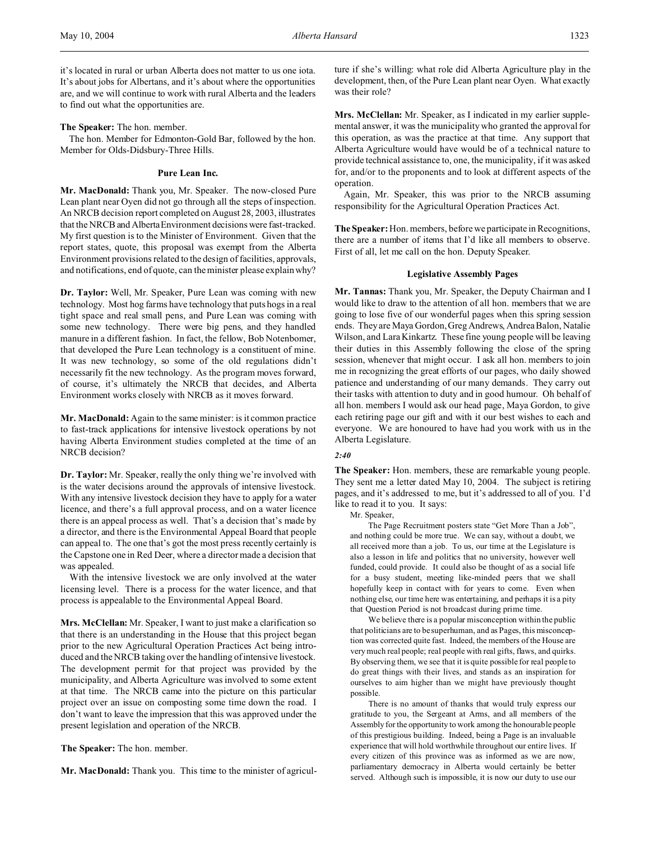**The Speaker:** The hon. member.

The hon. Member for Edmonton-Gold Bar, followed by the hon. Member for Olds-Didsbury-Three Hills.

### **Pure Lean Inc.**

**Mr. MacDonald:** Thank you, Mr. Speaker. The now-closed Pure Lean plant near Oyen did not go through all the steps of inspection. An NRCB decision report completed on August 28, 2003, illustrates that the NRCB and AlbertaEnvironment decisions were fast-tracked. My first question is to the Minister of Environment. Given that the report states, quote, this proposal was exempt from the Alberta Environment provisions related to the design of facilities, approvals, and notifications, end of quote, can the minister please explain why?

**Dr. Taylor:** Well, Mr. Speaker, Pure Lean was coming with new technology. Most hog farms have technology that puts hogs in a real tight space and real small pens, and Pure Lean was coming with some new technology. There were big pens, and they handled manure in a different fashion. In fact, the fellow, Bob Notenbomer, that developed the Pure Lean technology is a constituent of mine. It was new technology, so some of the old regulations didn't necessarily fit the new technology. As the program moves forward, of course, it's ultimately the NRCB that decides, and Alberta Environment works closely with NRCB as it moves forward.

**Mr. MacDonald:** Again to the same minister: is it common practice to fast-track applications for intensive livestock operations by not having Alberta Environment studies completed at the time of an NRCB decision?

**Dr. Taylor:** Mr. Speaker, really the only thing we're involved with is the water decisions around the approvals of intensive livestock. With any intensive livestock decision they have to apply for a water licence, and there's a full approval process, and on a water licence there is an appeal process as well. That's a decision that's made by a director, and there is the Environmental Appeal Board that people can appeal to. The one that's got the most press recently certainly is the Capstone one in Red Deer, where a director made a decision that was appealed.

With the intensive livestock we are only involved at the water licensing level. There is a process for the water licence, and that process is appealable to the Environmental Appeal Board.

**Mrs. McClellan:** Mr. Speaker, I want to just make a clarification so that there is an understanding in the House that this project began prior to the new Agricultural Operation Practices Act being introduced and the NRCB taking over the handling of intensive livestock. The development permit for that project was provided by the municipality, and Alberta Agriculture was involved to some extent at that time. The NRCB came into the picture on this particular project over an issue on composting some time down the road. I don't want to leave the impression that this was approved under the present legislation and operation of the NRCB.

**The Speaker:** The hon. member.

**Mr. MacDonald:** Thank you. This time to the minister of agricul-

ture if she's willing: what role did Alberta Agriculture play in the development, then, of the Pure Lean plant near Oyen. What exactly was their role?

**Mrs. McClellan:** Mr. Speaker, as I indicated in my earlier supplemental answer, it was the municipality who granted the approval for this operation, as was the practice at that time. Any support that Alberta Agriculture would have would be of a technical nature to provide technical assistance to, one, the municipality, if it was asked for, and/or to the proponents and to look at different aspects of the operation.

Again, Mr. Speaker, this was prior to the NRCB assuming responsibility for the Agricultural Operation Practices Act.

**The Speaker:** Hon. members, before we participate in Recognitions, there are a number of items that I'd like all members to observe. First of all, let me call on the hon. Deputy Speaker.

#### **Legislative Assembly Pages**

**Mr. Tannas:** Thank you, Mr. Speaker, the Deputy Chairman and I would like to draw to the attention of all hon. members that we are going to lose five of our wonderful pages when this spring session ends. They are Maya Gordon, Greg Andrews, Andrea Balon, Natalie Wilson, and Lara Kinkartz. These fine young people will be leaving their duties in this Assembly following the close of the spring session, whenever that might occur. I ask all hon. members to join me in recognizing the great efforts of our pages, who daily showed patience and understanding of our many demands. They carry out their tasks with attention to duty and in good humour. Oh behalf of all hon. members I would ask our head page, Maya Gordon, to give each retiring page our gift and with it our best wishes to each and everyone. We are honoured to have had you work with us in the Alberta Legislature.

# *2:40*

**The Speaker:** Hon. members, these are remarkable young people. They sent me a letter dated May 10, 2004. The subject is retiring pages, and it's addressed to me, but it's addressed to all of you. I'd like to read it to you. It says:

Mr. Speaker,

The Page Recruitment posters state "Get More Than a Job", and nothing could be more true. We can say, without a doubt, we all received more than a job. To us, our time at the Legislature is also a lesson in life and politics that no university, however well funded, could provide. It could also be thought of as a social life for a busy student, meeting like-minded peers that we shall hopefully keep in contact with for years to come. Even when nothing else, our time here was entertaining, and perhaps it is a pity that Question Period is not broadcast during prime time.

We believe there is a popular misconception within the public that politicians are to be superhuman, and as Pages, this misconception was corrected quite fast. Indeed, the members of the House are very much real people; real people with real gifts, flaws, and quirks. By observing them, we see that it is quite possible for real people to do great things with their lives, and stands as an inspiration for ourselves to aim higher than we might have previously thought possible.

There is no amount of thanks that would truly express our gratitude to you, the Sergeant at Arms, and all members of the Assembly for the opportunity to work among the honourable people of this prestigious building. Indeed, being a Page is an invaluable experience that will hold worthwhile throughout our entire lives. If every citizen of this province was as informed as we are now, parliamentary democracy in Alberta would certainly be better served. Although such is impossible, it is now our duty to use our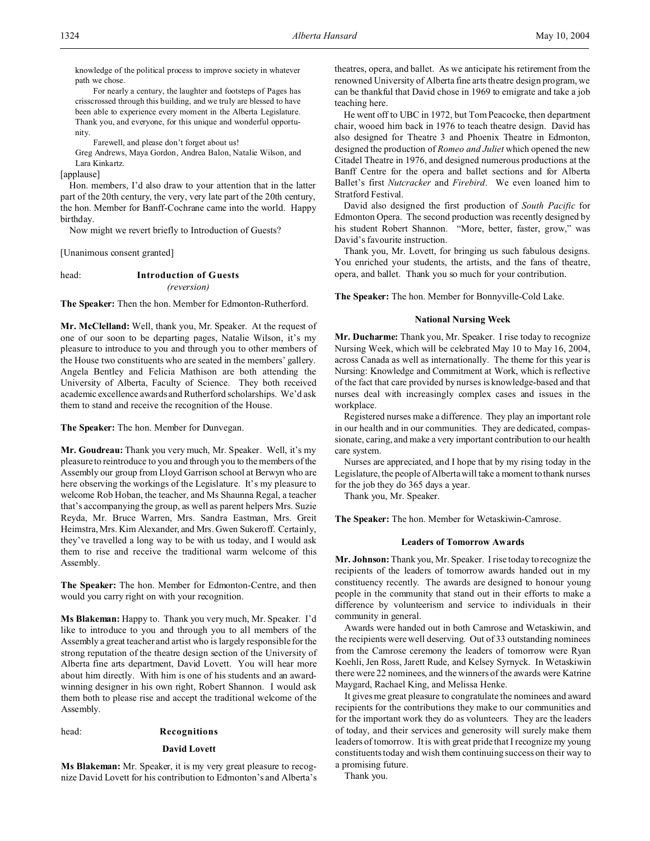knowledge of the political process to improve society in whatever path we chose.

For nearly a century, the laughter and footsteps of Pages has crisscrossed through this building, and we truly are blessed to have been able to experience every moment in the Alberta Legislature. Thank you, and everyone, for this unique and wonderful opportunity.

Farewell, and please don't forget about us!

Greg Andrews, Maya Gordon, Andrea Balon, Natalie Wilson, and Lara Kinkartz.

[applause]

Hon. members, I'd also draw to your attention that in the latter part of the 20th century, the very, very late part of the 20th century, the hon. Member for Banff-Cochrane came into the world. Happy birthday.

Now might we revert briefly to Introduction of Guests?

[Unanimous consent granted]

### head: **Introduction of Guests** *(reversion)*

**The Speaker:** Then the hon. Member for Edmonton-Rutherford.

**Mr. McClelland:** Well, thank you, Mr. Speaker. At the request of one of our soon to be departing pages, Natalie Wilson, it's my pleasure to introduce to you and through you to other members of the House two constituents who are seated in the members' gallery. Angela Bentley and Felicia Mathison are both attending the University of Alberta, Faculty of Science. They both received academic excellence awards and Rutherford scholarships. We'd ask them to stand and receive the recognition of the House.

**The Speaker:** The hon. Member for Dunvegan.

**Mr. Goudreau:** Thank you very much, Mr. Speaker. Well, it's my pleasure to reintroduce to you and through you to the members of the Assembly our group from Lloyd Garrison school at Berwyn who are here observing the workings of the Legislature. It's my pleasure to welcome Rob Hoban, the teacher, and Ms Shaunna Regal, a teacher that's accompanying the group, as well as parent helpers Mrs. Suzie Reyda, Mr. Bruce Warren, Mrs. Sandra Eastman, Mrs. Greit Heimstra, Mrs. Kim Alexander, and Mrs. Gwen Sukeroff. Certainly, they've travelled a long way to be with us today, and I would ask them to rise and receive the traditional warm welcome of this Assembly.

**The Speaker:** The hon. Member for Edmonton-Centre, and then would you carry right on with your recognition.

**Ms Blakeman:** Happy to. Thank you very much, Mr. Speaker. I'd like to introduce to you and through you to all members of the Assembly a great teacher and artist who is largely responsible for the strong reputation of the theatre design section of the University of Alberta fine arts department, David Lovett. You will hear more about him directly. With him is one of his students and an awardwinning designer in his own right, Robert Shannon. I would ask them both to please rise and accept the traditional welcome of the Assembly.

# head: **Recognitions**

#### **David Lovett**

**Ms Blakeman:** Mr. Speaker, it is my very great pleasure to recognize David Lovett for his contribution to Edmonton's and Alberta's theatres, opera, and ballet. As we anticipate his retirement from the renowned University of Alberta fine arts theatre design program, we can be thankful that David chose in 1969 to emigrate and take a job teaching here.

He went off to UBC in 1972, but Tom Peacocke, then department chair, wooed him back in 1976 to teach theatre design. David has also designed for Theatre 3 and Phoenix Theatre in Edmonton, designed the production of *Romeo and Juliet* which opened the new Citadel Theatre in 1976, and designed numerous productions at the Banff Centre for the opera and ballet sections and for Alberta Ballet's first *Nutcracker* and *Firebird*. We even loaned him to Stratford Festival.

David also designed the first production of *South Pacific* for Edmonton Opera. The second production was recently designed by his student Robert Shannon. "More, better, faster, grow," was David's favourite instruction.

Thank you, Mr. Lovett, for bringing us such fabulous designs. You enriched your students, the artists, and the fans of theatre, opera, and ballet. Thank you so much for your contribution.

**The Speaker:** The hon. Member for Bonnyville-Cold Lake.

### **National Nursing Week**

**Mr. Ducharme:** Thank you, Mr. Speaker. I rise today to recognize Nursing Week, which will be celebrated May 10 to May 16, 2004, across Canada as well as internationally. The theme for this year is Nursing: Knowledge and Commitment at Work, which is reflective of the fact that care provided by nurses is knowledge-based and that nurses deal with increasingly complex cases and issues in the workplace.

Registered nurses make a difference. They play an important role in our health and in our communities. They are dedicated, compassionate, caring, and make a very important contribution to our health care system.

Nurses are appreciated, and I hope that by my rising today in the Legislature, the people of Alberta will take a moment to thank nurses for the job they do 365 days a year.

Thank you, Mr. Speaker.

**The Speaker:** The hon. Member for Wetaskiwin-Camrose.

### **Leaders of Tomorrow Awards**

**Mr. Johnson:** Thank you, Mr. Speaker. I rise today to recognize the recipients of the leaders of tomorrow awards handed out in my constituency recently. The awards are designed to honour young people in the community that stand out in their efforts to make a difference by volunteerism and service to individuals in their community in general.

Awards were handed out in both Camrose and Wetaskiwin, and the recipients were well deserving. Out of 33 outstanding nominees from the Camrose ceremony the leaders of tomorrow were Ryan Koehli, Jen Ross, Jarett Rude, and Kelsey Syrnyck. In Wetaskiwin there were 22 nominees, and the winners of the awards were Katrine Maygard, Rachael King, and Melissa Henke.

It gives me great pleasure to congratulate the nominees and award recipients for the contributions they make to our communities and for the important work they do as volunteers. They are the leaders of today, and their services and generosity will surely make them leaders of tomorrow. It is with great pride that I recognize my young constituents today and wish them continuing success on their way to a promising future.

Thank you.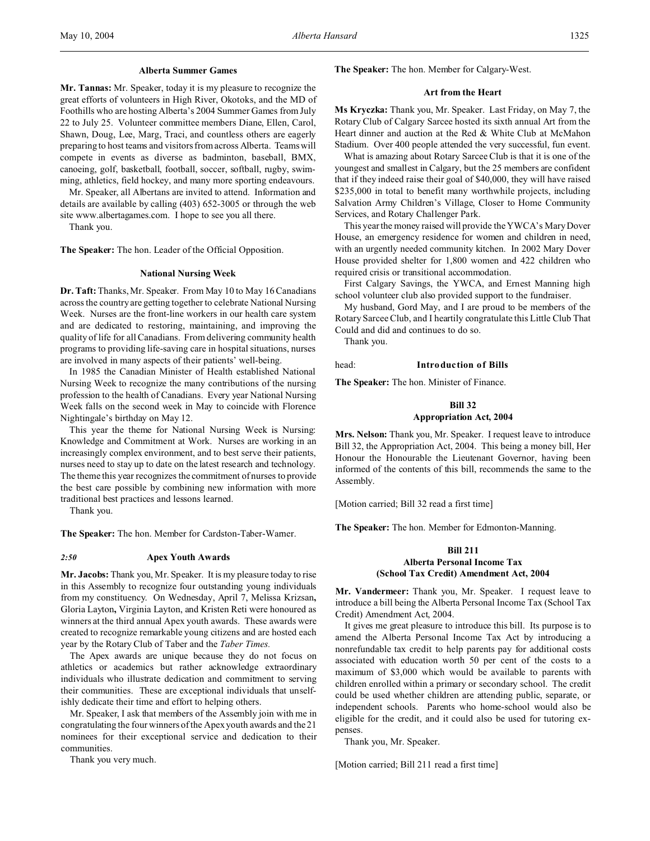#### **Alberta Summer Games**

**Mr. Tannas:** Mr. Speaker, today it is my pleasure to recognize the great efforts of volunteers in High River, Okotoks, and the MD of Foothills who are hosting Alberta's 2004 Summer Games from July 22 to July 25. Volunteer committee members Diane, Ellen, Carol, Shawn, Doug, Lee, Marg, Traci, and countless others are eagerly preparing to host teams and visitors from across Alberta. Teams will compete in events as diverse as badminton, baseball, BMX, canoeing, golf, basketball, football, soccer, softball, rugby, swimming, athletics, field hockey, and many more sporting endeavours.

Mr. Speaker, all Albertans are invited to attend. Information and details are available by calling (403) 652-3005 or through the web site www.albertagames.com. I hope to see you all there.

Thank you.

**The Speaker:** The hon. Leader of the Official Opposition.

#### **National Nursing Week**

**Dr. Taft:** Thanks, Mr. Speaker. From May 10 to May 16 Canadians across the country are getting together to celebrate National Nursing Week. Nurses are the front-line workers in our health care system and are dedicated to restoring, maintaining, and improving the quality of life for all Canadians. From delivering community health programs to providing life-saving care in hospital situations, nurses are involved in many aspects of their patients' well-being.

In 1985 the Canadian Minister of Health established National Nursing Week to recognize the many contributions of the nursing profession to the health of Canadians. Every year National Nursing Week falls on the second week in May to coincide with Florence Nightingale's birthday on May 12.

This year the theme for National Nursing Week is Nursing: Knowledge and Commitment at Work. Nurses are working in an increasingly complex environment, and to best serve their patients, nurses need to stay up to date on the latest research and technology. The theme this year recognizes the commitment of nurses to provide the best care possible by combining new information with more traditional best practices and lessons learned.

Thank you.

**The Speaker:** The hon. Member for Cardston-Taber-Warner.

#### *2:50* **Apex Youth Awards**

**Mr. Jacobs:** Thank you, Mr. Speaker. It is my pleasure today to rise in this Assembly to recognize four outstanding young individuals from my constituency. On Wednesday, April 7, Melissa Krizsan**,** Gloria Layton**,** Virginia Layton, and Kristen Reti were honoured as winners at the third annual Apex youth awards. These awards were created to recognize remarkable young citizens and are hosted each year by the Rotary Club of Taber and the *Taber Times.*

The Apex awards are unique because they do not focus on athletics or academics but rather acknowledge extraordinary individuals who illustrate dedication and commitment to serving their communities. These are exceptional individuals that unselfishly dedicate their time and effort to helping others.

Mr. Speaker, I ask that members of the Assembly join with me in congratulating the four winners of the Apex youth awards and the 21 nominees for their exceptional service and dedication to their communities.

Thank you very much.

#### **The Speaker:** The hon. Member for Calgary-West.

#### **Art from the Heart**

**Ms Kryczka:** Thank you, Mr. Speaker. Last Friday, on May 7, the Rotary Club of Calgary Sarcee hosted its sixth annual Art from the Heart dinner and auction at the Red & White Club at McMahon Stadium. Over 400 people attended the very successful, fun event.

What is amazing about Rotary Sarcee Club is that it is one of the youngest and smallest in Calgary, but the 25 members are confident that if they indeed raise their goal of \$40,000, they will have raised \$235,000 in total to benefit many worthwhile projects, including Salvation Army Children's Village, Closer to Home Community Services, and Rotary Challenger Park.

This year the money raised will provide the YWCA's Mary Dover House, an emergency residence for women and children in need, with an urgently needed community kitchen. In 2002 Mary Dover House provided shelter for 1,800 women and 422 children who required crisis or transitional accommodation.

First Calgary Savings, the YWCA, and Ernest Manning high school volunteer club also provided support to the fundraiser.

My husband, Gord May, and I are proud to be members of the Rotary Sarcee Club, and I heartily congratulate this Little Club That Could and did and continues to do so.

Thank you.

#### head: **Introduction of Bills**

**The Speaker:** The hon. Minister of Finance.

#### **Bill 32**

### **Appropriation Act, 2004**

**Mrs. Nelson:** Thank you, Mr. Speaker. I request leave to introduce Bill 32, the Appropriation Act, 2004. This being a money bill, Her Honour the Honourable the Lieutenant Governor, having been informed of the contents of this bill, recommends the same to the Assembly.

[Motion carried; Bill 32 read a first time]

**The Speaker:** The hon. Member for Edmonton-Manning.

# **Bill 211 Alberta Personal Income Tax (School Tax Credit) Amendment Act, 2004**

**Mr. Vandermeer:** Thank you, Mr. Speaker. I request leave to introduce a bill being the Alberta Personal Income Tax (School Tax Credit) Amendment Act, 2004.

It gives me great pleasure to introduce this bill. Its purpose is to amend the Alberta Personal Income Tax Act by introducing a nonrefundable tax credit to help parents pay for additional costs associated with education worth 50 per cent of the costs to a maximum of \$3,000 which would be available to parents with children enrolled within a primary or secondary school. The credit could be used whether children are attending public, separate, or independent schools. Parents who home-school would also be eligible for the credit, and it could also be used for tutoring expenses.

Thank you, Mr. Speaker.

[Motion carried; Bill 211 read a first time]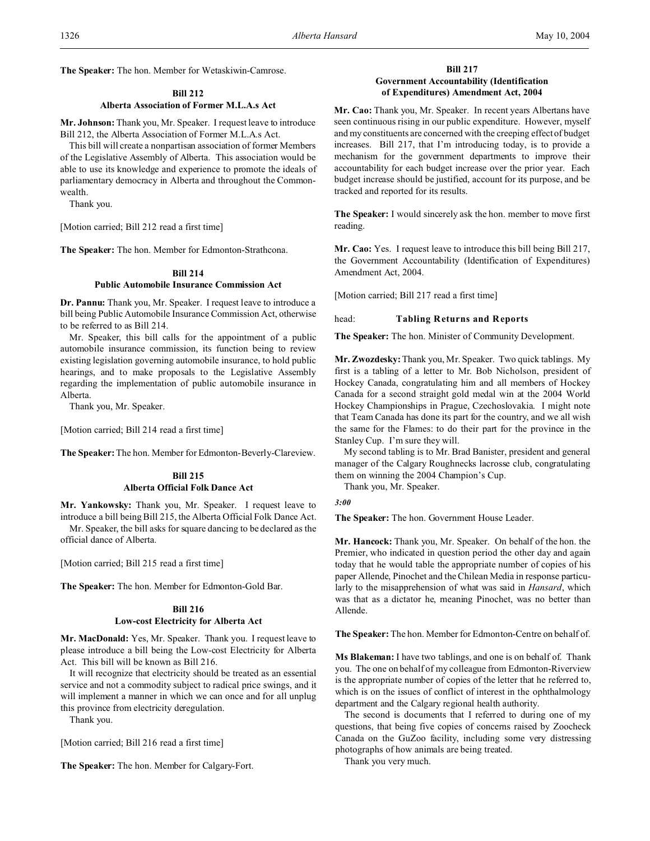**The Speaker:** The hon. Member for Wetaskiwin-Camrose.

# **Bill 212**

# **Alberta Association of Former M.L.A.s Act**

**Mr. Johnson:** Thank you, Mr. Speaker. I request leave to introduce Bill 212, the Alberta Association of Former M.L.A.s Act.

This bill will create a nonpartisan association of former Members of the Legislative Assembly of Alberta. This association would be able to use its knowledge and experience to promote the ideals of parliamentary democracy in Alberta and throughout the Commonwealth.

Thank you.

[Motion carried; Bill 212 read a first time]

**The Speaker:** The hon. Member for Edmonton-Strathcona.

# **Bill 214**

### **Public Automobile Insurance Commission Act**

**Dr. Pannu:** Thank you, Mr. Speaker. I request leave to introduce a bill being Public Automobile Insurance Commission Act, otherwise to be referred to as Bill 214.

Mr. Speaker, this bill calls for the appointment of a public automobile insurance commission, its function being to review existing legislation governing automobile insurance, to hold public hearings, and to make proposals to the Legislative Assembly regarding the implementation of public automobile insurance in Alberta.

Thank you, Mr. Speaker.

[Motion carried; Bill 214 read a first time]

**The Speaker:**The hon. Member for Edmonton-Beverly-Clareview.

# **Bill 215 Alberta Official Folk Dance Act**

**Mr. Yankowsky:** Thank you, Mr. Speaker. I request leave to introduce a bill being Bill 215, the Alberta Official Folk Dance Act.

Mr. Speaker, the bill asks for square dancing to be declared as the official dance of Alberta.

[Motion carried; Bill 215 read a first time]

**The Speaker:** The hon. Member for Edmonton-Gold Bar.

# **Bill 216**

### **Low-cost Electricity for Alberta Act**

**Mr. MacDonald:** Yes, Mr. Speaker. Thank you. I request leave to please introduce a bill being the Low-cost Electricity for Alberta Act. This bill will be known as Bill 216.

It will recognize that electricity should be treated as an essential service and not a commodity subject to radical price swings, and it will implement a manner in which we can once and for all unplug this province from electricity deregulation.

Thank you.

[Motion carried; Bill 216 read a first time]

**The Speaker:** The hon. Member for Calgary-Fort.

### **Bill 217**

# **Government Accountability (Identification of Expenditures) Amendment Act, 2004**

**Mr. Cao:** Thank you, Mr. Speaker. In recent years Albertans have seen continuous rising in our public expenditure. However, myself and my constituents are concerned with the creeping effect of budget increases. Bill 217, that I'm introducing today, is to provide a mechanism for the government departments to improve their accountability for each budget increase over the prior year. Each budget increase should be justified, account for its purpose, and be tracked and reported for its results.

**The Speaker:** I would sincerely ask the hon. member to move first reading.

**Mr. Cao:** Yes. I request leave to introduce this bill being Bill 217, the Government Accountability (Identification of Expenditures) Amendment Act, 2004.

[Motion carried; Bill 217 read a first time]

#### head: **Tabling Returns and Reports**

**The Speaker:** The hon. Minister of Community Development.

**Mr. Zwozdesky:** Thank you, Mr. Speaker. Two quick tablings. My first is a tabling of a letter to Mr. Bob Nicholson, president of Hockey Canada, congratulating him and all members of Hockey Canada for a second straight gold medal win at the 2004 World Hockey Championships in Prague, Czechoslovakia. I might note that Team Canada has done its part for the country, and we all wish the same for the Flames: to do their part for the province in the Stanley Cup. I'm sure they will.

My second tabling is to Mr. Brad Banister, president and general manager of the Calgary Roughnecks lacrosse club, congratulating them on winning the 2004 Champion's Cup.

Thank you, Mr. Speaker.

*3:00*

**The Speaker:** The hon. Government House Leader.

**Mr. Hancock:** Thank you, Mr. Speaker. On behalf of the hon. the Premier, who indicated in question period the other day and again today that he would table the appropriate number of copies of his paper Allende, Pinochet and the Chilean Media in response particularly to the misapprehension of what was said in *Hansard*, which was that as a dictator he, meaning Pinochet, was no better than Allende.

**The Speaker:** The hon. Member for Edmonton-Centre on behalf of.

**Ms Blakeman:** I have two tablings, and one is on behalf of. Thank you. The one on behalf of my colleague from Edmonton-Riverview is the appropriate number of copies of the letter that he referred to, which is on the issues of conflict of interest in the ophthalmology department and the Calgary regional health authority.

The second is documents that I referred to during one of my questions, that being five copies of concerns raised by Zoocheck Canada on the GuZoo facility, including some very distressing photographs of how animals are being treated.

Thank you very much.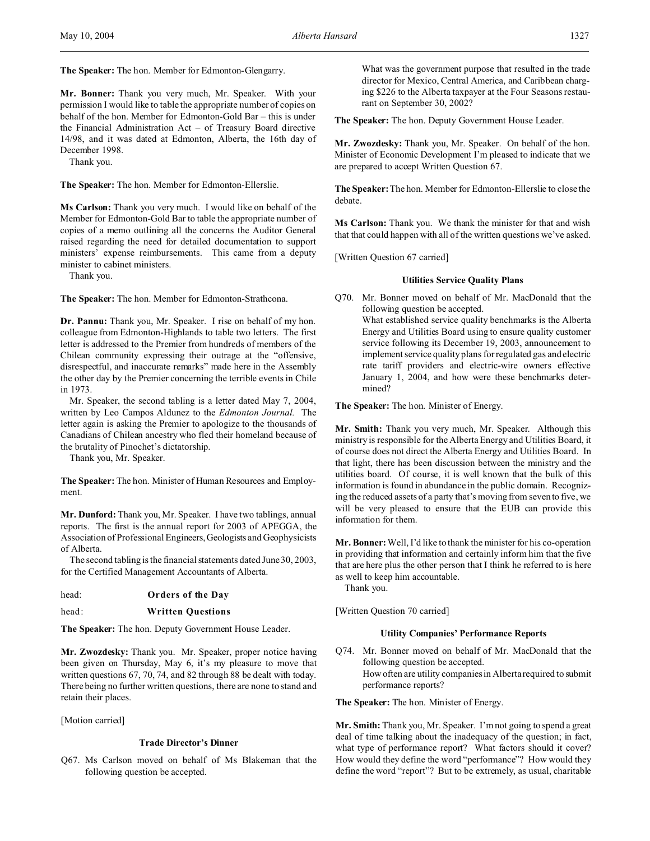**The Speaker:** The hon. Member for Edmonton-Glengarry.

**Mr. Bonner:** Thank you very much, Mr. Speaker. With your permission I would like to table the appropriate number of copies on behalf of the hon. Member for Edmonton-Gold Bar – this is under the Financial Administration Act – of Treasury Board directive 14/98, and it was dated at Edmonton, Alberta, the 16th day of December 1998.

Thank you.

**The Speaker:** The hon. Member for Edmonton-Ellerslie.

**Ms Carlson:** Thank you very much. I would like on behalf of the Member for Edmonton-Gold Bar to table the appropriate number of copies of a memo outlining all the concerns the Auditor General raised regarding the need for detailed documentation to support ministers' expense reimbursements. This came from a deputy minister to cabinet ministers.

Thank you.

**The Speaker:** The hon. Member for Edmonton-Strathcona.

**Dr. Pannu:** Thank you, Mr. Speaker. I rise on behalf of my hon. colleague from Edmonton-Highlands to table two letters. The first letter is addressed to the Premier from hundreds of members of the Chilean community expressing their outrage at the "offensive, disrespectful, and inaccurate remarks" made here in the Assembly the other day by the Premier concerning the terrible events in Chile in 1973.

Mr. Speaker, the second tabling is a letter dated May 7, 2004, written by Leo Campos Aldunez to the *Edmonton Journal.* The letter again is asking the Premier to apologize to the thousands of Canadians of Chilean ancestry who fled their homeland because of the brutality of Pinochet's dictatorship.

Thank you, Mr. Speaker.

**The Speaker:** The hon. Minister of Human Resources and Employment.

**Mr. Dunford:** Thank you, Mr. Speaker. I have two tablings, annual reports. The first is the annual report for 2003 of APEGGA, the Association of Professional Engineers,Geologists and Geophysicists of Alberta.

The second tabling is the financial statements dated June 30, 2003, for the Certified Management Accountants of Alberta.

- head: **Orders of the Day**
- head: **Written Questions**

**The Speaker:** The hon. Deputy Government House Leader.

**Mr. Zwozdesky:** Thank you. Mr. Speaker, proper notice having been given on Thursday, May 6, it's my pleasure to move that written questions 67, 70, 74, and 82 through 88 be dealt with today. There being no further written questions, there are none to stand and retain their places.

[Motion carried]

### **Trade Director's Dinner**

Q67. Ms Carlson moved on behalf of Ms Blakeman that the following question be accepted.

What was the government purpose that resulted in the trade director for Mexico, Central America, and Caribbean charging \$226 to the Alberta taxpayer at the Four Seasons restaurant on September 30, 2002?

**The Speaker:** The hon. Deputy Government House Leader.

**Mr. Zwozdesky:** Thank you, Mr. Speaker. On behalf of the hon. Minister of Economic Development I'm pleased to indicate that we are prepared to accept Written Question 67.

**The Speaker:**The hon. Member for Edmonton-Ellerslie to close the debate.

**Ms Carlson:** Thank you. We thank the minister for that and wish that that could happen with all of the written questions we've asked.

[Written Question 67 carried]

# **Utilities Service Quality Plans**

Q70. Mr. Bonner moved on behalf of Mr. MacDonald that the following question be accepted. What established service quality benchmarks is the Alberta Energy and Utilities Board using to ensure quality customer service following its December 19, 2003, announcement to implement service quality plans for regulated gas and electric rate tariff providers and electric-wire owners effective January 1, 2004, and how were these benchmarks determined?

**The Speaker:** The hon. Minister of Energy.

**Mr. Smith:** Thank you very much, Mr. Speaker. Although this ministry is responsible for the Alberta Energy and Utilities Board, it of course does not direct the Alberta Energy and Utilities Board. In that light, there has been discussion between the ministry and the utilities board. Of course, it is well known that the bulk of this information is found in abundance in the public domain. Recognizing the reduced assets of a party that's moving from seven to five, we will be very pleased to ensure that the EUB can provide this information for them.

**Mr. Bonner:**Well, I'd like to thank the minister for his co-operation in providing that information and certainly inform him that the five that are here plus the other person that I think he referred to is here as well to keep him accountable.

Thank you.

[Written Question 70 carried]

### **Utility Companies' Performance Reports**

Q74. Mr. Bonner moved on behalf of Mr. MacDonald that the following question be accepted. How often are utility companies in Alberta required to submit performance reports?

**The Speaker:** The hon. Minister of Energy.

**Mr. Smith:** Thank you, Mr. Speaker. I'm not going to spend a great deal of time talking about the inadequacy of the question; in fact, what type of performance report? What factors should it cover? How would they define the word "performance"? How would they define the word "report"? But to be extremely, as usual, charitable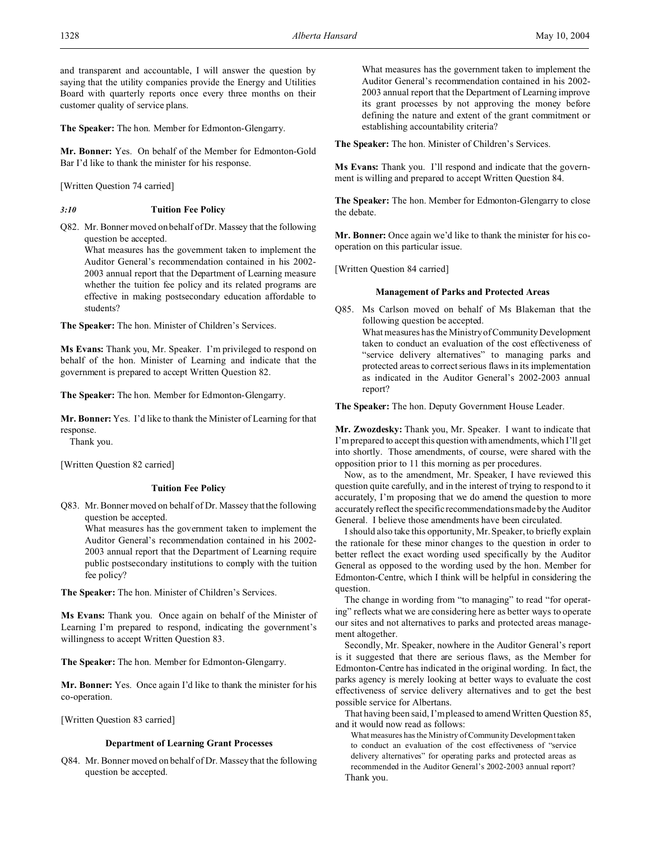**The Speaker:** The hon. Member for Edmonton-Glengarry.

**Mr. Bonner:** Yes. On behalf of the Member for Edmonton-Gold Bar I'd like to thank the minister for his response.

[Written Question 74 carried]

# *3:10* **Tuition Fee Policy**

Q82. Mr. Bonner moved on behalf of Dr. Massey that the following question be accepted.

What measures has the government taken to implement the Auditor General's recommendation contained in his 2002- 2003 annual report that the Department of Learning measure whether the tuition fee policy and its related programs are effective in making postsecondary education affordable to students?

**The Speaker:** The hon. Minister of Children's Services.

**Ms Evans:** Thank you, Mr. Speaker. I'm privileged to respond on behalf of the hon. Minister of Learning and indicate that the government is prepared to accept Written Question 82.

**The Speaker:** The hon. Member for Edmonton-Glengarry.

**Mr. Bonner:** Yes. I'd like to thank the Minister of Learning for that response.

Thank you.

[Written Question 82 carried]

# **Tuition Fee Policy**

Q83. Mr. Bonner moved on behalf of Dr. Massey that the following question be accepted.

What measures has the government taken to implement the Auditor General's recommendation contained in his 2002- 2003 annual report that the Department of Learning require public postsecondary institutions to comply with the tuition fee policy?

**The Speaker:** The hon. Minister of Children's Services.

**Ms Evans:** Thank you. Once again on behalf of the Minister of Learning I'm prepared to respond, indicating the government's willingness to accept Written Question 83.

**The Speaker:** The hon. Member for Edmonton-Glengarry.

**Mr. Bonner:** Yes. Once again I'd like to thank the minister for his co-operation.

[Written Question 83 carried]

# **Department of Learning Grant Processes**

Q84. Mr. Bonner moved on behalf of Dr. Massey that the following question be accepted.

What measures has the government taken to implement the Auditor General's recommendation contained in his 2002- 2003 annual report that the Department of Learning improve its grant processes by not approving the money before defining the nature and extent of the grant commitment or establishing accountability criteria?

**The Speaker:** The hon. Minister of Children's Services.

**Ms Evans:** Thank you. I'll respond and indicate that the government is willing and prepared to accept Written Question 84.

**The Speaker:** The hon. Member for Edmonton-Glengarry to close the debate.

**Mr. Bonner:** Once again we'd like to thank the minister for his cooperation on this particular issue.

[Written Question 84 carried]

# **Management of Parks and Protected Areas**

Q85. Ms Carlson moved on behalf of Ms Blakeman that the following question be accepted. What measures has the Ministry of Community Development taken to conduct an evaluation of the cost effectiveness of "service delivery alternatives" to managing parks and protected areas to correct serious flaws in its implementation as indicated in the Auditor General's 2002-2003 annual report?

**The Speaker:** The hon. Deputy Government House Leader.

**Mr. Zwozdesky:** Thank you, Mr. Speaker. I want to indicate that I'm prepared to accept this question with amendments, which I'll get into shortly. Those amendments, of course, were shared with the opposition prior to 11 this morning as per procedures.

Now, as to the amendment, Mr. Speaker, I have reviewed this question quite carefully, and in the interest of trying to respond to it accurately, I'm proposing that we do amend the question to more accurately reflect the specific recommendations made by the Auditor General. I believe those amendments have been circulated.

I should also take this opportunity, Mr. Speaker, to briefly explain the rationale for these minor changes to the question in order to better reflect the exact wording used specifically by the Auditor General as opposed to the wording used by the hon. Member for Edmonton-Centre, which I think will be helpful in considering the question.

The change in wording from "to managing" to read "for operating" reflects what we are considering here as better ways to operate our sites and not alternatives to parks and protected areas management altogether.

Secondly, Mr. Speaker, nowhere in the Auditor General's report is it suggested that there are serious flaws, as the Member for Edmonton-Centre has indicated in the original wording. In fact, the parks agency is merely looking at better ways to evaluate the cost effectiveness of service delivery alternatives and to get the best possible service for Albertans.

That having been said, I'm pleased to amend Written Question 85, and it would now read as follows:

What measures has the Ministry of Community Development taken to conduct an evaluation of the cost effectiveness of "service delivery alternatives" for operating parks and protected areas as recommended in the Auditor General's 2002-2003 annual report? Thank you.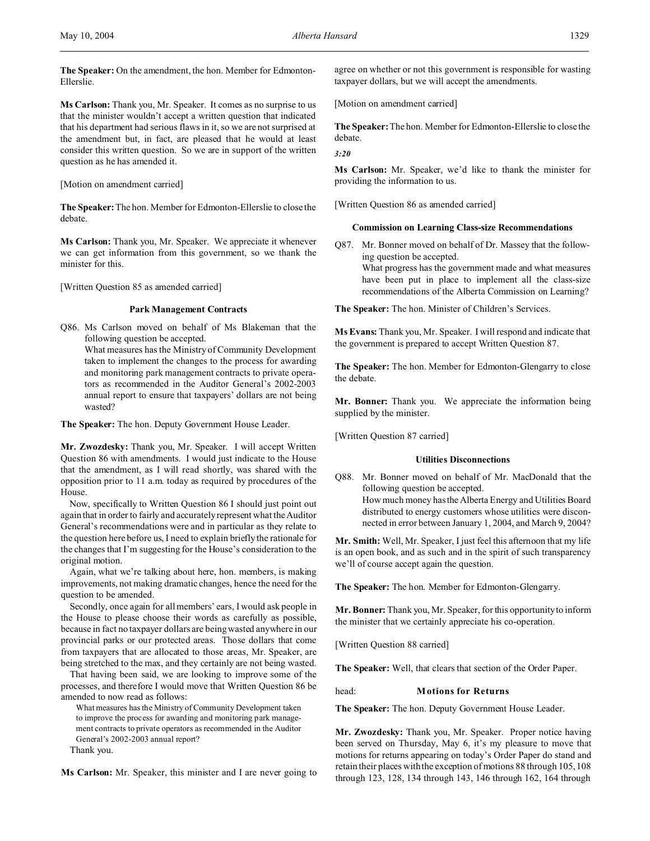**The Speaker:** On the amendment, the hon. Member for Edmonton-Ellerslie.

**Ms Carlson:** Thank you, Mr. Speaker. It comes as no surprise to us that the minister wouldn't accept a written question that indicated that his department had serious flaws in it, so we are not surprised at the amendment but, in fact, are pleased that he would at least consider this written question. So we are in support of the written question as he has amended it.

[Motion on amendment carried]

**The Speaker:**The hon. Member for Edmonton-Ellerslie to close the debate.

**Ms Carlson:** Thank you, Mr. Speaker. We appreciate it whenever we can get information from this government, so we thank the minister for this.

[Written Question 85 as amended carried]

# **Park Management Contracts**

Q86. Ms Carlson moved on behalf of Ms Blakeman that the following question be accepted.

What measures has the Ministry of Community Development taken to implement the changes to the process for awarding and monitoring park management contracts to private operators as recommended in the Auditor General's 2002-2003 annual report to ensure that taxpayers' dollars are not being wasted?

**The Speaker:** The hon. Deputy Government House Leader.

**Mr. Zwozdesky:** Thank you, Mr. Speaker. I will accept Written Question 86 with amendments. I would just indicate to the House that the amendment, as I will read shortly, was shared with the opposition prior to 11 a.m. today as required by procedures of the House.

Now, specifically to Written Question 86 I should just point out again that in order to fairly and accurately represent what the Auditor General's recommendations were and in particular as they relate to the question here before us, I need to explain briefly the rationale for the changes that I'm suggesting for the House's consideration to the original motion.

Again, what we're talking about here, hon. members, is making improvements, not making dramatic changes, hence the need for the question to be amended.

Secondly, once again for all members' ears, I would ask people in the House to please choose their words as carefully as possible, because in fact no taxpayer dollars are being wasted anywhere in our provincial parks or our protected areas. Those dollars that come from taxpayers that are allocated to those areas, Mr. Speaker, are being stretched to the max, and they certainly are not being wasted.

That having been said, we are looking to improve some of the processes, and therefore I would move that Written Question 86 be amended to now read as follows:

What measures has the Ministry of Community Development taken to improve the process for awarding and monitoring park management contracts to private operators as recommended in the Auditor General's 2002-2003 annual report?

Thank you.

**Ms Carlson:** Mr. Speaker, this minister and I are never going to

agree on whether or not this government is responsible for wasting taxpayer dollars, but we will accept the amendments.

[Motion on amendment carried]

**The Speaker:**The hon. Member for Edmonton-Ellerslie to close the debate.

*3:20*

**Ms Carlson:** Mr. Speaker, we'd like to thank the minister for providing the information to us.

[Written Question 86 as amended carried]

#### **Commission on Learning Class-size Recommendations**

Q87. Mr. Bonner moved on behalf of Dr. Massey that the following question be accepted. What progress has the government made and what measures

have been put in place to implement all the class-size recommendations of the Alberta Commission on Learning?

**The Speaker:** The hon. Minister of Children's Services.

**Ms Evans:** Thank you, Mr. Speaker. I will respond and indicate that the government is prepared to accept Written Question 87.

**The Speaker:** The hon. Member for Edmonton-Glengarry to close the debate.

**Mr. Bonner:** Thank you. We appreciate the information being supplied by the minister.

[Written Question 87 carried]

# **Utilities Disconnections**

Q88. Mr. Bonner moved on behalf of Mr. MacDonald that the following question be accepted. How much money has the Alberta Energy and Utilities Board distributed to energy customers whose utilities were disconnected in error between January 1, 2004, and March 9, 2004?

**Mr. Smith:** Well, Mr. Speaker, I just feel this afternoon that my life is an open book, and as such and in the spirit of such transparency we'll of course accept again the question.

**The Speaker:** The hon. Member for Edmonton-Glengarry.

**Mr. Bonner:** Thank you, Mr. Speaker, for this opportunity to inform the minister that we certainly appreciate his co-operation.

[Written Question 88 carried]

**The Speaker:** Well, that clears that section of the Order Paper.

head: **Motions for Returns**

**The Speaker:** The hon. Deputy Government House Leader.

**Mr. Zwozdesky:** Thank you, Mr. Speaker. Proper notice having been served on Thursday, May 6, it's my pleasure to move that motions for returns appearing on today's Order Paper do stand and retain their places with the exception of motions 88 through 105, 108 through 123, 128, 134 through 143, 146 through 162, 164 through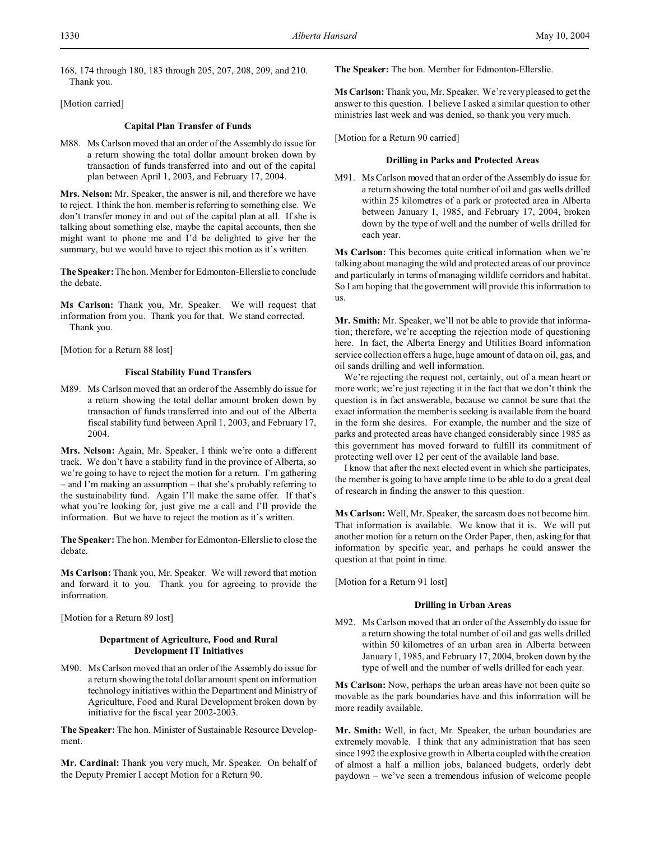168, 174 through 180, 183 through 205, 207, 208, 209, and 210. Thank you.

[Motion carried]

#### **Capital Plan Transfer of Funds**

M88. Ms Carlson moved that an order of the Assembly do issue for a return showing the total dollar amount broken down by transaction of funds transferred into and out of the capital plan between April 1, 2003, and February 17, 2004.

**Mrs. Nelson:** Mr. Speaker, the answer is nil, and therefore we have to reject. I think the hon. member is referring to something else. We don't transfer money in and out of the capital plan at all. If she is talking about something else, maybe the capital accounts, then she might want to phone me and I'd be delighted to give her the summary, but we would have to reject this motion as it's written.

**The Speaker:** The hon. Member for Edmonton-Ellerslie to conclude the debate.

**Ms Carlson:** Thank you, Mr. Speaker. We will request that information from you. Thank you for that. We stand corrected. Thank you.

[Motion for a Return 88 lost]

#### **Fiscal Stability Fund Transfers**

M89. Ms Carlson moved that an order of the Assembly do issue for a return showing the total dollar amount broken down by transaction of funds transferred into and out of the Alberta fiscal stability fund between April 1, 2003, and February 17, 2004.

**Mrs. Nelson:** Again, Mr. Speaker, I think we're onto a different track. We don't have a stability fund in the province of Alberta, so we're going to have to reject the motion for a return. I'm gathering – and I'm making an assumption – that she's probably referring to the sustainability fund. Again I'll make the same offer. If that's what you're looking for, just give me a call and I'll provide the information. But we have to reject the motion as it's written.

**The Speaker:** The hon. Member for Edmonton-Ellerslie to close the debate.

**Ms Carlson:** Thank you, Mr. Speaker. We will reword that motion and forward it to you. Thank you for agreeing to provide the information.

[Motion for a Return 89 lost]

# **Department of Agriculture, Food and Rural Development IT Initiatives**

M90. Ms Carlson moved that an order of the Assembly do issue for a return showing the total dollar amount spent on information technology initiatives within the Department and Ministry of Agriculture, Food and Rural Development broken down by initiative for the fiscal year 2002-2003.

**The Speaker:** The hon. Minister of Sustainable Resource Development.

**Mr. Cardinal:** Thank you very much, Mr. Speaker. On behalf of the Deputy Premier I accept Motion for a Return 90.

**The Speaker:** The hon. Member for Edmonton-Ellerslie.

**Ms Carlson:** Thank you, Mr. Speaker. We're very pleased to get the answer to this question. I believe I asked a similar question to other ministries last week and was denied, so thank you very much.

[Motion for a Return 90 carried]

#### **Drilling in Parks and Protected Areas**

M91. Ms Carlson moved that an order of the Assembly do issue for a return showing the total number of oil and gas wells drilled within 25 kilometres of a park or protected area in Alberta between January 1, 1985, and February 17, 2004, broken down by the type of well and the number of wells drilled for each year.

**Ms Carlson:** This becomes quite critical information when we're talking about managing the wild and protected areas of our province and particularly in terms of managing wildlife corridors and habitat. So I am hoping that the government will provide this information to us.

**Mr. Smith:** Mr. Speaker, we'll not be able to provide that information; therefore, we're accepting the rejection mode of questioning here. In fact, the Alberta Energy and Utilities Board information service collection offers a huge, huge amount of data on oil, gas, and oil sands drilling and well information.

We're rejecting the request not, certainly, out of a mean heart or more work; we're just rejecting it in the fact that we don't think the question is in fact answerable, because we cannot be sure that the exact information the member is seeking is available from the board in the form she desires. For example, the number and the size of parks and protected areas have changed considerably since 1985 as this government has moved forward to fulfill its commitment of protecting well over 12 per cent of the available land base.

I know that after the next elected event in which she participates, the member is going to have ample time to be able to do a great deal of research in finding the answer to this question.

**Ms Carlson:** Well, Mr. Speaker, the sarcasm does not become him. That information is available. We know that it is. We will put another motion for a return on the Order Paper, then, asking for that information by specific year, and perhaps he could answer the question at that point in time.

[Motion for a Return 91 lost]

#### **Drilling in Urban Areas**

M92. Ms Carlson moved that an order of the Assembly do issue for a return showing the total number of oil and gas wells drilled within 50 kilometres of an urban area in Alberta between January 1, 1985, and February 17, 2004, broken down by the type of well and the number of wells drilled for each year.

**Ms Carlson:** Now, perhaps the urban areas have not been quite so movable as the park boundaries have and this information will be more readily available.

**Mr. Smith:** Well, in fact, Mr. Speaker, the urban boundaries are extremely movable. I think that any administration that has seen since 1992 the explosive growth in Alberta coupled with the creation of almost a half a million jobs, balanced budgets, orderly debt paydown – we've seen a tremendous infusion of welcome people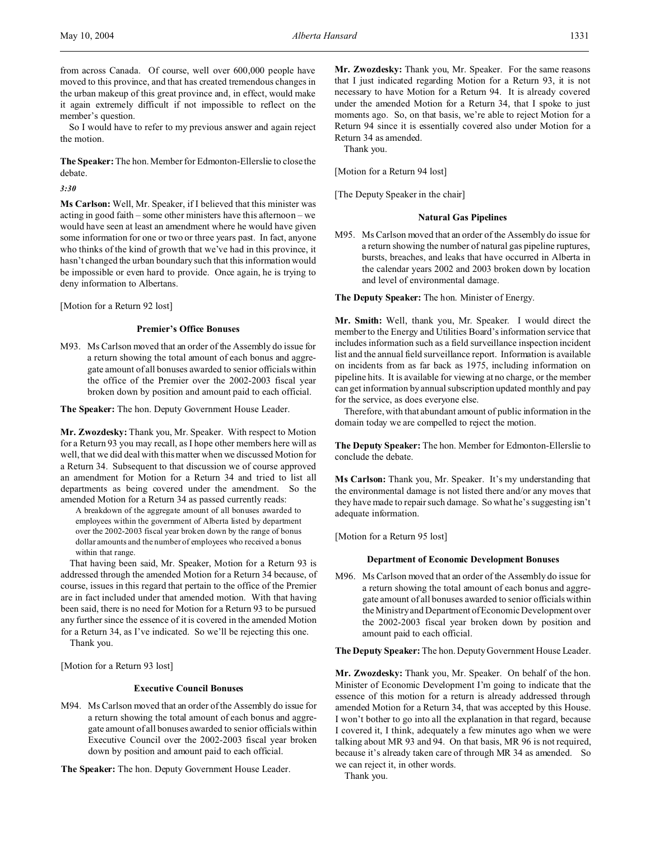from across Canada. Of course, well over 600,000 people have moved to this province, and that has created tremendous changes in the urban makeup of this great province and, in effect, would make it again extremely difficult if not impossible to reflect on the member's question.

So I would have to refer to my previous answer and again reject the motion.

**The Speaker:** The hon. Member for Edmonton-Ellerslie to close the debate.

*3:30*

**Ms Carlson:** Well, Mr. Speaker, if I believed that this minister was acting in good faith – some other ministers have this afternoon – we would have seen at least an amendment where he would have given some information for one or two or three years past. In fact, anyone who thinks of the kind of growth that we've had in this province, it hasn't changed the urban boundary such that this information would be impossible or even hard to provide. Once again, he is trying to deny information to Albertans.

[Motion for a Return 92 lost]

# **Premier's Office Bonuses**

M93. Ms Carlson moved that an order of the Assembly do issue for a return showing the total amount of each bonus and aggregate amount of all bonuses awarded to senior officials within the office of the Premier over the 2002-2003 fiscal year broken down by position and amount paid to each official.

**The Speaker:** The hon. Deputy Government House Leader.

**Mr. Zwozdesky:** Thank you, Mr. Speaker. With respect to Motion for a Return 93 you may recall, as I hope other members here will as well, that we did deal with this matter when we discussed Motion for a Return 34. Subsequent to that discussion we of course approved an amendment for Motion for a Return 34 and tried to list all departments as being covered under the amendment. So the amended Motion for a Return 34 as passed currently reads:

A breakdown of the aggregate amount of all bonuses awarded to employees within the government of Alberta listed by department over the 2002-2003 fiscal year broken down by the range of bonus dollar amounts and the number of employees who received a bonus within that range.

That having been said, Mr. Speaker, Motion for a Return 93 is addressed through the amended Motion for a Return 34 because, of course, issues in this regard that pertain to the office of the Premier are in fact included under that amended motion. With that having been said, there is no need for Motion for a Return 93 to be pursued any further since the essence of it is covered in the amended Motion for a Return 34, as I've indicated. So we'll be rejecting this one. Thank you.

[Motion for a Return 93 lost]

#### **Executive Council Bonuses**

M94. Ms Carlson moved that an order of the Assembly do issue for a return showing the total amount of each bonus and aggregate amount of all bonuses awarded to senior officials within Executive Council over the 2002-2003 fiscal year broken down by position and amount paid to each official.

**The Speaker:** The hon. Deputy Government House Leader.

**Mr. Zwozdesky:** Thank you, Mr. Speaker. For the same reasons that I just indicated regarding Motion for a Return 93, it is not necessary to have Motion for a Return 94. It is already covered under the amended Motion for a Return 34, that I spoke to just moments ago. So, on that basis, we're able to reject Motion for a Return 94 since it is essentially covered also under Motion for a Return 34 as amended.

Thank you.

[Motion for a Return 94 lost]

[The Deputy Speaker in the chair]

#### **Natural Gas Pipelines**

M95. Ms Carlson moved that an order of the Assembly do issue for a return showing the number of natural gas pipeline ruptures, bursts, breaches, and leaks that have occurred in Alberta in the calendar years 2002 and 2003 broken down by location and level of environmental damage.

**The Deputy Speaker:** The hon. Minister of Energy.

**Mr. Smith:** Well, thank you, Mr. Speaker. I would direct the member to the Energy and Utilities Board's information service that includes information such as a field surveillance inspection incident list and the annual field surveillance report. Information is available on incidents from as far back as 1975, including information on pipeline hits. It is available for viewing at no charge, or the member can get information by annual subscription updated monthly and pay for the service, as does everyone else.

Therefore, with that abundant amount of public information in the domain today we are compelled to reject the motion.

**The Deputy Speaker:** The hon. Member for Edmonton-Ellerslie to conclude the debate.

**Ms Carlson:** Thank you, Mr. Speaker. It's my understanding that the environmental damage is not listed there and/or any moves that they have made to repair such damage. So what he's suggesting isn't adequate information.

[Motion for a Return 95 lost]

#### **Department of Economic Development Bonuses**

M96. Ms Carlson moved that an order of the Assembly do issue for a return showing the total amount of each bonus and aggregate amount of all bonuses awarded to senior officials within the Ministry and Department of Economic Development over the 2002-2003 fiscal year broken down by position and amount paid to each official.

**The Deputy Speaker:** The hon. Deputy Government House Leader.

**Mr. Zwozdesky:** Thank you, Mr. Speaker. On behalf of the hon. Minister of Economic Development I'm going to indicate that the essence of this motion for a return is already addressed through amended Motion for a Return 34, that was accepted by this House. I won't bother to go into all the explanation in that regard, because I covered it, I think, adequately a few minutes ago when we were talking about MR 93 and 94. On that basis, MR 96 is not required, because it's already taken care of through MR 34 as amended. So we can reject it, in other words.

Thank you.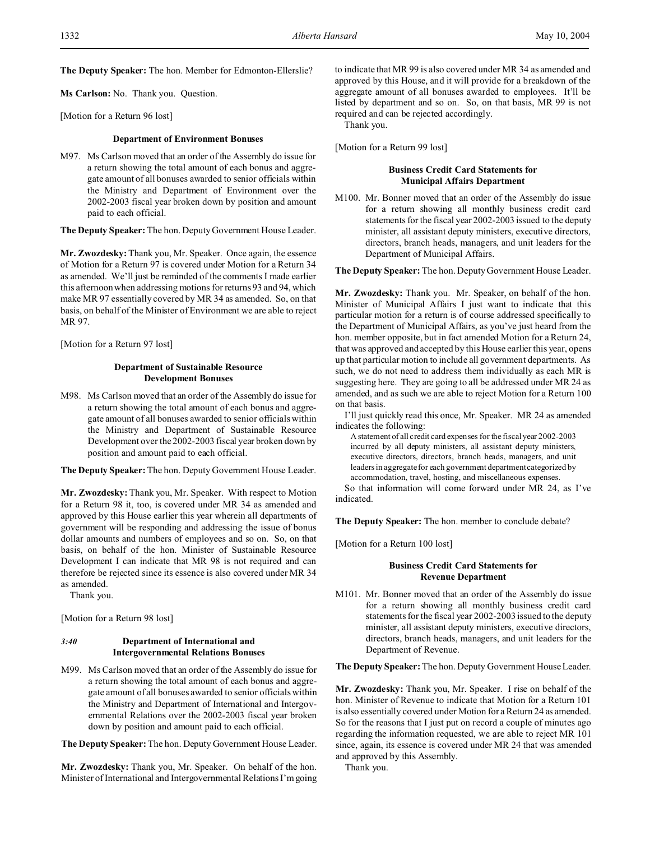**The Deputy Speaker:** The hon. Member for Edmonton-Ellerslie?

**Ms Carlson:** No. Thank you. Question.

[Motion for a Return 96 lost]

#### **Department of Environment Bonuses**

M97. Ms Carlson moved that an order of the Assembly do issue for a return showing the total amount of each bonus and aggregate amount of all bonuses awarded to senior officials within the Ministry and Department of Environment over the 2002-2003 fiscal year broken down by position and amount paid to each official.

**The Deputy Speaker:** The hon. Deputy Government House Leader.

**Mr. Zwozdesky:** Thank you, Mr. Speaker. Once again, the essence of Motion for a Return 97 is covered under Motion for a Return 34 as amended. We'll just be reminded of the comments I made earlier this afternoon when addressing motions for returns 93 and 94, which make MR 97 essentially covered by MR 34 as amended. So, on that basis, on behalf of the Minister of Environment we are able to reject MR 97.

[Motion for a Return 97 lost]

# **Department of Sustainable Resource Development Bonuses**

M98. Ms Carlson moved that an order of the Assembly do issue for a return showing the total amount of each bonus and aggregate amount of all bonuses awarded to senior officials within the Ministry and Department of Sustainable Resource Development over the 2002-2003 fiscal year broken down by position and amount paid to each official.

**The Deputy Speaker:** The hon. Deputy Government House Leader.

**Mr. Zwozdesky:** Thank you, Mr. Speaker. With respect to Motion for a Return 98 it, too, is covered under MR 34 as amended and approved by this House earlier this year wherein all departments of government will be responding and addressing the issue of bonus dollar amounts and numbers of employees and so on. So, on that basis, on behalf of the hon. Minister of Sustainable Resource Development I can indicate that MR 98 is not required and can therefore be rejected since its essence is also covered under MR 34 as amended.

Thank you.

[Motion for a Return 98 lost]

### *3:40* **Department of International and Intergovernmental Relations Bonuses**

M99. Ms Carlson moved that an order of the Assembly do issue for a return showing the total amount of each bonus and aggregate amount of all bonuses awarded to senior officials within the Ministry and Department of International and Intergovernmental Relations over the 2002-2003 fiscal year broken down by position and amount paid to each official.

**The Deputy Speaker:** The hon. Deputy Government House Leader.

**Mr. Zwozdesky:** Thank you, Mr. Speaker. On behalf of the hon. Minister of International and Intergovernmental Relations I'm going

to indicate that MR 99 is also covered under MR 34 as amended and approved by this House, and it will provide for a breakdown of the aggregate amount of all bonuses awarded to employees. It'll be listed by department and so on. So, on that basis, MR 99 is not required and can be rejected accordingly.

Thank you.

[Motion for a Return 99 lost]

# **Business Credit Card Statements for Municipal Affairs Department**

M100. Mr. Bonner moved that an order of the Assembly do issue for a return showing all monthly business credit card statements for the fiscal year 2002-2003 issued to the deputy minister, all assistant deputy ministers, executive directors, directors, branch heads, managers, and unit leaders for the Department of Municipal Affairs.

**The Deputy Speaker:** The hon. Deputy Government House Leader.

**Mr. Zwozdesky:** Thank you. Mr. Speaker, on behalf of the hon. Minister of Municipal Affairs I just want to indicate that this particular motion for a return is of course addressed specifically to the Department of Municipal Affairs, as you've just heard from the hon. member opposite, but in fact amended Motion for a Return 24, that was approved and accepted by this House earlier this year, opens up that particular motion to include all government departments. As such, we do not need to address them individually as each MR is suggesting here. They are going to all be addressed under MR 24 as amended, and as such we are able to reject Motion for a Return 100 on that basis.

I'll just quickly read this once, Mr. Speaker. MR 24 as amended indicates the following:

A statement of all credit card expenses for the fiscal year 2002-2003 incurred by all deputy ministers, all assistant deputy ministers, executive directors, directors, branch heads, managers, and unit leaders in aggregate for each government department categorized by accommodation, travel, hosting, and miscellaneous expenses.

So that information will come forward under MR 24, as I've indicated.

**The Deputy Speaker:** The hon. member to conclude debate?

[Motion for a Return 100 lost]

# **Business Credit Card Statements for Revenue Department**

M101. Mr. Bonner moved that an order of the Assembly do issue for a return showing all monthly business credit card statements for the fiscal year 2002-2003 issued to the deputy minister, all assistant deputy ministers, executive directors, directors, branch heads, managers, and unit leaders for the Department of Revenue.

**The Deputy Speaker:** The hon. Deputy Government House Leader.

**Mr. Zwozdesky:** Thank you, Mr. Speaker. I rise on behalf of the hon. Minister of Revenue to indicate that Motion for a Return 101 is also essentially covered under Motion for a Return 24 as amended. So for the reasons that I just put on record a couple of minutes ago regarding the information requested, we are able to reject MR 101 since, again, its essence is covered under MR 24 that was amended and approved by this Assembly.

Thank you.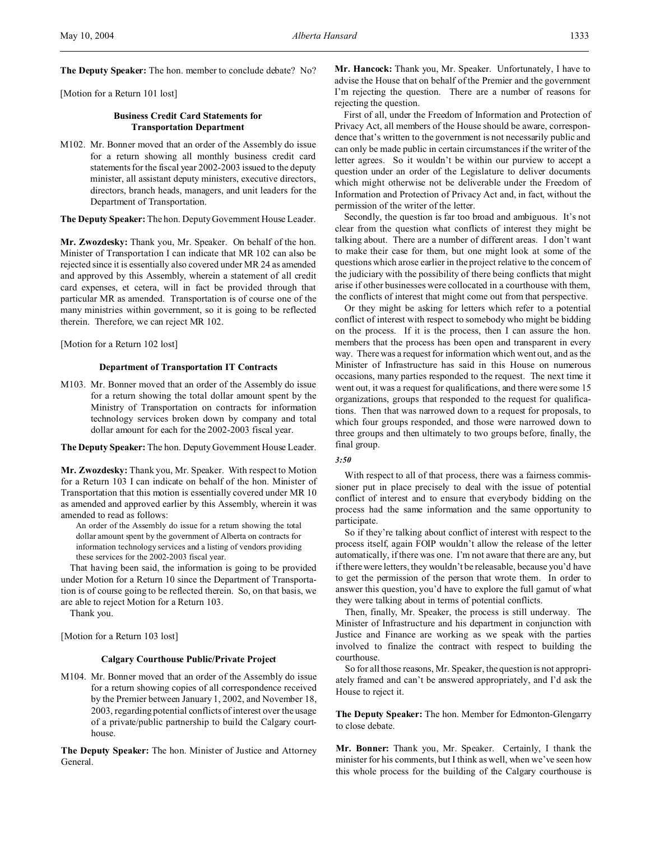**The Deputy Speaker:** The hon. member to conclude debate? No?

[Motion for a Return 101 lost]

### **Business Credit Card Statements for Transportation Department**

M102. Mr. Bonner moved that an order of the Assembly do issue for a return showing all monthly business credit card statements for the fiscal year 2002-2003 issued to the deputy minister, all assistant deputy ministers, executive directors, directors, branch heads, managers, and unit leaders for the Department of Transportation.

**The Deputy Speaker:** The hon. Deputy Government House Leader.

**Mr. Zwozdesky:** Thank you, Mr. Speaker. On behalf of the hon. Minister of Transportation I can indicate that MR 102 can also be rejected since it is essentially also covered under MR 24 as amended and approved by this Assembly, wherein a statement of all credit card expenses, et cetera, will in fact be provided through that particular MR as amended. Transportation is of course one of the many ministries within government, so it is going to be reflected therein. Therefore, we can reject MR 102.

[Motion for a Return 102 lost]

# **Department of Transportation IT Contracts**

M103. Mr. Bonner moved that an order of the Assembly do issue for a return showing the total dollar amount spent by the Ministry of Transportation on contracts for information technology services broken down by company and total dollar amount for each for the 2002-2003 fiscal year.

**The Deputy Speaker:** The hon. Deputy Government House Leader.

**Mr. Zwozdesky:** Thank you, Mr. Speaker. With respect to Motion for a Return 103 I can indicate on behalf of the hon. Minister of Transportation that this motion is essentially covered under MR 10 as amended and approved earlier by this Assembly, wherein it was amended to read as follows:

An order of the Assembly do issue for a return showing the total dollar amount spent by the government of Alberta on contracts for information technology services and a listing of vendors providing these services for the 2002-2003 fiscal year.

That having been said, the information is going to be provided under Motion for a Return 10 since the Department of Transportation is of course going to be reflected therein. So, on that basis, we are able to reject Motion for a Return 103.

Thank you.

[Motion for a Return 103 lost]

# **Calgary Courthouse Public/Private Project**

M104. Mr. Bonner moved that an order of the Assembly do issue for a return showing copies of all correspondence received by the Premier between January 1, 2002, and November 18, 2003, regarding potential conflicts of interest over the usage of a private/public partnership to build the Calgary courthouse.

**The Deputy Speaker:** The hon. Minister of Justice and Attorney General.

**Mr. Hancock:** Thank you, Mr. Speaker. Unfortunately, I have to advise the House that on behalf of the Premier and the government I'm rejecting the question. There are a number of reasons for rejecting the question.

First of all, under the Freedom of Information and Protection of Privacy Act, all members of the House should be aware, correspondence that's written to the government is not necessarily public and can only be made public in certain circumstances if the writer of the letter agrees. So it wouldn't be within our purview to accept a question under an order of the Legislature to deliver documents which might otherwise not be deliverable under the Freedom of Information and Protection of Privacy Act and, in fact, without the permission of the writer of the letter.

Secondly, the question is far too broad and ambiguous. It's not clear from the question what conflicts of interest they might be talking about. There are a number of different areas. I don't want to make their case for them, but one might look at some of the questions which arose earlier in the project relative to the concern of the judiciary with the possibility of there being conflicts that might arise if other businesses were collocated in a courthouse with them, the conflicts of interest that might come out from that perspective.

Or they might be asking for letters which refer to a potential conflict of interest with respect to somebody who might be bidding on the process. If it is the process, then I can assure the hon. members that the process has been open and transparent in every way. There was a request for information which went out, and as the Minister of Infrastructure has said in this House on numerous occasions, many parties responded to the request. The next time it went out, it was a request for qualifications, and there were some 15 organizations, groups that responded to the request for qualifications. Then that was narrowed down to a request for proposals, to which four groups responded, and those were narrowed down to three groups and then ultimately to two groups before, finally, the final group.

With respect to all of that process, there was a fairness commissioner put in place precisely to deal with the issue of potential conflict of interest and to ensure that everybody bidding on the process had the same information and the same opportunity to participate.

So if they're talking about conflict of interest with respect to the process itself, again FOIP wouldn't allow the release of the letter automatically, if there was one. I'm not aware that there are any, but if there were letters, they wouldn't be releasable, because you'd have to get the permission of the person that wrote them. In order to answer this question, you'd have to explore the full gamut of what they were talking about in terms of potential conflicts.

Then, finally, Mr. Speaker, the process is still underway. The Minister of Infrastructure and his department in conjunction with Justice and Finance are working as we speak with the parties involved to finalize the contract with respect to building the courthouse.

So for all those reasons, Mr. Speaker, the question is not appropriately framed and can't be answered appropriately, and I'd ask the House to reject it.

**The Deputy Speaker:** The hon. Member for Edmonton-Glengarry to close debate.

**Mr. Bonner:** Thank you, Mr. Speaker. Certainly, I thank the minister for his comments, but I think as well, when we've seen how this whole process for the building of the Calgary courthouse is

*<sup>3:50</sup>*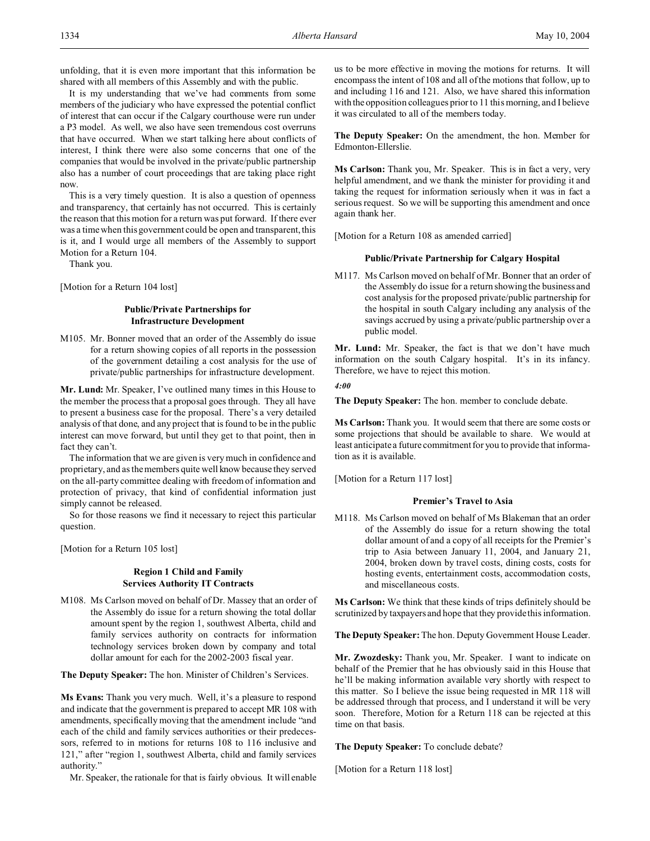unfolding, that it is even more important that this information be shared with all members of this Assembly and with the public.

It is my understanding that we've had comments from some members of the judiciary who have expressed the potential conflict of interest that can occur if the Calgary courthouse were run under a P3 model. As well, we also have seen tremendous cost overruns that have occurred. When we start talking here about conflicts of interest, I think there were also some concerns that one of the companies that would be involved in the private/public partnership also has a number of court proceedings that are taking place right now.

This is a very timely question. It is also a question of openness and transparency, that certainly has not occurred. This is certainly the reason that this motion for a return was put forward. If there ever was a time when this government could be open and transparent, this is it, and I would urge all members of the Assembly to support Motion for a Return 104.

Thank you.

[Motion for a Return 104 lost]

### **Public/Private Partnerships for Infrastructure Development**

M105. Mr. Bonner moved that an order of the Assembly do issue for a return showing copies of all reports in the possession of the government detailing a cost analysis for the use of private/public partnerships for infrastructure development.

**Mr. Lund:** Mr. Speaker, I've outlined many times in this House to the member the process that a proposal goes through. They all have to present a business case for the proposal. There's a very detailed analysis of that done, and any project that is found to be in the public interest can move forward, but until they get to that point, then in fact they can't.

The information that we are given is very much in confidence and proprietary, and as the members quite well know because they served on the all-party committee dealing with freedom of information and protection of privacy, that kind of confidential information just simply cannot be released.

So for those reasons we find it necessary to reject this particular question.

[Motion for a Return 105 lost]

# **Region 1 Child and Family Services Authority IT Contracts**

M108. Ms Carlson moved on behalf of Dr. Massey that an order of the Assembly do issue for a return showing the total dollar amount spent by the region 1, southwest Alberta, child and family services authority on contracts for information technology services broken down by company and total dollar amount for each for the 2002-2003 fiscal year.

**The Deputy Speaker:** The hon. Minister of Children's Services.

**Ms Evans:** Thank you very much. Well, it's a pleasure to respond and indicate that the government is prepared to accept MR 108 with amendments, specifically moving that the amendment include "and each of the child and family services authorities or their predecessors, referred to in motions for returns 108 to 116 inclusive and 121," after "region 1, southwest Alberta, child and family services authority."

Mr. Speaker, the rationale for that is fairly obvious. It will enable

us to be more effective in moving the motions for returns. It will encompass the intent of 108 and all of the motions that follow, up to and including 116 and 121. Also, we have shared this information with the opposition colleagues prior to 11 this morning, and I believe it was circulated to all of the members today.

**The Deputy Speaker:** On the amendment, the hon. Member for Edmonton-Ellerslie.

**Ms Carlson:** Thank you, Mr. Speaker. This is in fact a very, very helpful amendment, and we thank the minister for providing it and taking the request for information seriously when it was in fact a serious request. So we will be supporting this amendment and once again thank her.

[Motion for a Return 108 as amended carried]

# **Public/Private Partnership for Calgary Hospital**

M117. Ms Carlson moved on behalf of Mr. Bonner that an order of the Assembly do issue for a return showing the business and cost analysis for the proposed private/public partnership for the hospital in south Calgary including any analysis of the savings accrued by using a private/public partnership over a public model.

**Mr. Lund:** Mr. Speaker, the fact is that we don't have much information on the south Calgary hospital. It's in its infancy. Therefore, we have to reject this motion.

*4:00*

**The Deputy Speaker:** The hon. member to conclude debate.

**Ms Carlson:** Thank you. It would seem that there are some costs or some projections that should be available to share. We would at least anticipate a future commitment for you to provide that information as it is available.

[Motion for a Return 117 lost]

# **Premier's Travel to Asia**

M118. Ms Carlson moved on behalf of Ms Blakeman that an order of the Assembly do issue for a return showing the total dollar amount of and a copy of all receipts for the Premier's trip to Asia between January 11, 2004, and January 21, 2004, broken down by travel costs, dining costs, costs for hosting events, entertainment costs, accommodation costs, and miscellaneous costs.

**Ms Carlson:** We think that these kinds of trips definitely should be scrutinized by taxpayers and hope that they provide this information.

**The Deputy Speaker:** The hon. Deputy Government House Leader.

**Mr. Zwozdesky:** Thank you, Mr. Speaker. I want to indicate on behalf of the Premier that he has obviously said in this House that he'll be making information available very shortly with respect to this matter. So I believe the issue being requested in MR 118 will be addressed through that process, and I understand it will be very soon. Therefore, Motion for a Return 118 can be rejected at this time on that basis.

**The Deputy Speaker:** To conclude debate?

[Motion for a Return 118 lost]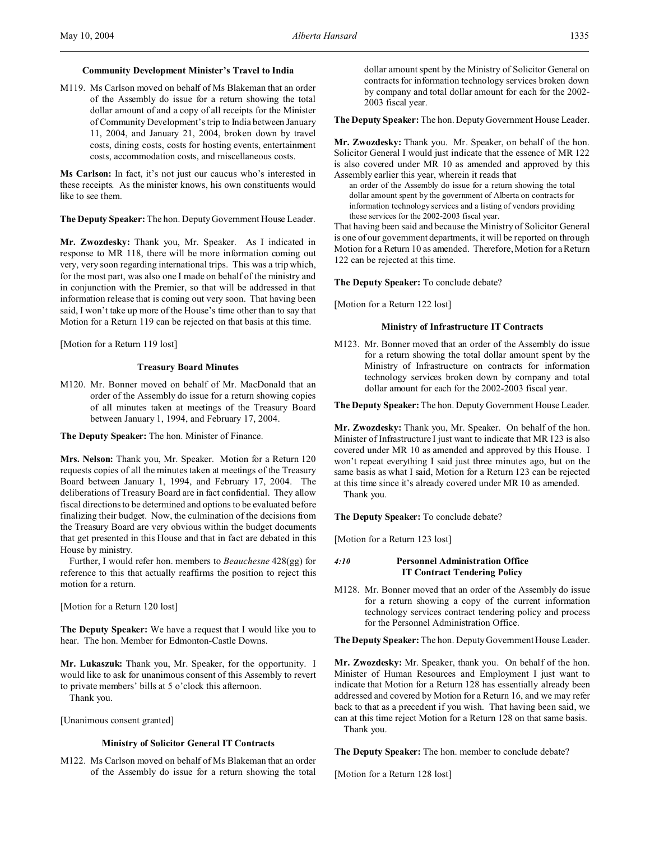M119. Ms Carlson moved on behalf of Ms Blakeman that an order of the Assembly do issue for a return showing the total dollar amount of and a copy of all receipts for the Minister of Community Development's trip to India between January 11, 2004, and January 21, 2004, broken down by travel costs, dining costs, costs for hosting events, entertainment costs, accommodation costs, and miscellaneous costs.

**Ms Carlson:** In fact, it's not just our caucus who's interested in these receipts. As the minister knows, his own constituents would like to see them.

**The Deputy Speaker:** The hon. Deputy Government House Leader.

**Mr. Zwozdesky:** Thank you, Mr. Speaker. As I indicated in response to MR 118, there will be more information coming out very, very soon regarding international trips. This was a trip which, for the most part, was also one I made on behalf of the ministry and in conjunction with the Premier, so that will be addressed in that information release that is coming out very soon. That having been said, I won't take up more of the House's time other than to say that Motion for a Return 119 can be rejected on that basis at this time.

[Motion for a Return 119 lost]

# **Treasury Board Minutes**

M120. Mr. Bonner moved on behalf of Mr. MacDonald that an order of the Assembly do issue for a return showing copies of all minutes taken at meetings of the Treasury Board between January 1, 1994, and February 17, 2004.

**The Deputy Speaker:** The hon. Minister of Finance.

**Mrs. Nelson:** Thank you, Mr. Speaker. Motion for a Return 120 requests copies of all the minutes taken at meetings of the Treasury Board between January 1, 1994, and February 17, 2004. The deliberations of Treasury Board are in fact confidential. They allow fiscal directions to be determined and options to be evaluated before finalizing their budget. Now, the culmination of the decisions from the Treasury Board are very obvious within the budget documents that get presented in this House and that in fact are debated in this House by ministry.

Further, I would refer hon. members to *Beauchesne* 428(gg) for reference to this that actually reaffirms the position to reject this motion for a return.

[Motion for a Return 120 lost]

**The Deputy Speaker:** We have a request that I would like you to hear. The hon. Member for Edmonton-Castle Downs.

**Mr. Lukaszuk:** Thank you, Mr. Speaker, for the opportunity. I would like to ask for unanimous consent of this Assembly to revert to private members' bills at 5 o'clock this afternoon.

Thank you.

[Unanimous consent granted]

#### **Ministry of Solicitor General IT Contracts**

M122. Ms Carlson moved on behalf of Ms Blakeman that an order of the Assembly do issue for a return showing the total

dollar amount spent by the Ministry of Solicitor General on contracts for information technology services broken down by company and total dollar amount for each for the 2002- 2003 fiscal year.

**The Deputy Speaker:** The hon. Deputy Government House Leader.

**Mr. Zwozdesky:** Thank you. Mr. Speaker, on behalf of the hon. Solicitor General I would just indicate that the essence of MR 122 is also covered under MR 10 as amended and approved by this Assembly earlier this year, wherein it reads that

an order of the Assembly do issue for a return showing the total dollar amount spent by the government of Alberta on contracts for information technology services and a listing of vendors providing these services for the 2002-2003 fiscal year.

That having been said and because the Ministry of Solicitor General is one of our government departments, it will be reported on through Motion for a Return 10 as amended. Therefore, Motion for a Return 122 can be rejected at this time.

**The Deputy Speaker:** To conclude debate?

[Motion for a Return 122 lost]

#### **Ministry of Infrastructure IT Contracts**

M123. Mr. Bonner moved that an order of the Assembly do issue for a return showing the total dollar amount spent by the Ministry of Infrastructure on contracts for information technology services broken down by company and total dollar amount for each for the 2002-2003 fiscal year.

**The Deputy Speaker:** The hon. Deputy Government House Leader.

**Mr. Zwozdesky:** Thank you, Mr. Speaker. On behalf of the hon. Minister of Infrastructure I just want to indicate that MR 123 is also covered under MR 10 as amended and approved by this House. I won't repeat everything I said just three minutes ago, but on the same basis as what I said, Motion for a Return 123 can be rejected at this time since it's already covered under MR 10 as amended. Thank you.

**The Deputy Speaker:** To conclude debate?

[Motion for a Return 123 lost]

### *4:10* **Personnel Administration Office IT Contract Tendering Policy**

M128. Mr. Bonner moved that an order of the Assembly do issue for a return showing a copy of the current information technology services contract tendering policy and process for the Personnel Administration Office.

**The Deputy Speaker:** The hon. Deputy Government House Leader.

**Mr. Zwozdesky:** Mr. Speaker, thank you. On behalf of the hon. Minister of Human Resources and Employment I just want to indicate that Motion for a Return 128 has essentially already been addressed and covered by Motion for a Return 16, and we may refer back to that as a precedent if you wish. That having been said, we can at this time reject Motion for a Return 128 on that same basis. Thank you.

**The Deputy Speaker:** The hon. member to conclude debate?

[Motion for a Return 128 lost]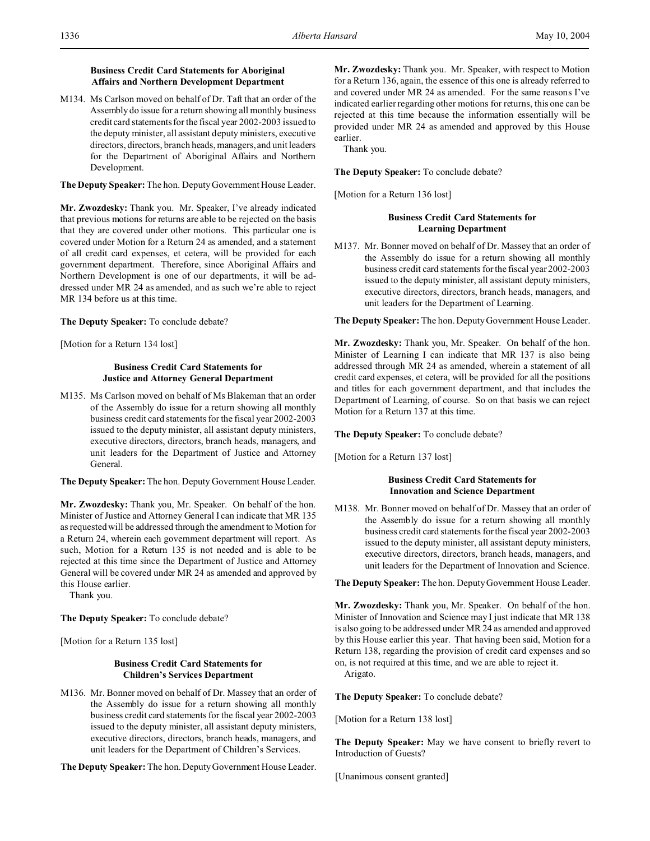# **Business Credit Card Statements for Aboriginal Affairs and Northern Development Department**

M134. Ms Carlson moved on behalf of Dr. Taft that an order of the Assembly do issue for a return showing all monthly business credit card statements for the fiscal year 2002-2003 issued to the deputy minister, all assistant deputy ministers, executive directors, directors, branch heads, managers, and unit leaders for the Department of Aboriginal Affairs and Northern Development.

**The Deputy Speaker:** The hon. Deputy Government House Leader.

**Mr. Zwozdesky:** Thank you. Mr. Speaker, I've already indicated that previous motions for returns are able to be rejected on the basis that they are covered under other motions. This particular one is covered under Motion for a Return 24 as amended, and a statement of all credit card expenses, et cetera, will be provided for each government department. Therefore, since Aboriginal Affairs and Northern Development is one of our departments, it will be addressed under MR 24 as amended, and as such we're able to reject MR 134 before us at this time.

**The Deputy Speaker:** To conclude debate?

[Motion for a Return 134 lost]

# **Business Credit Card Statements for Justice and Attorney General Department**

M135. Ms Carlson moved on behalf of Ms Blakeman that an order of the Assembly do issue for a return showing all monthly business credit card statements for the fiscal year 2002-2003 issued to the deputy minister, all assistant deputy ministers, executive directors, directors, branch heads, managers, and unit leaders for the Department of Justice and Attorney General.

**The Deputy Speaker:** The hon. Deputy Government House Leader.

**Mr. Zwozdesky:** Thank you, Mr. Speaker. On behalf of the hon. Minister of Justice and Attorney General I can indicate that MR 135 as requested will be addressed through the amendment to Motion for a Return 24, wherein each government department will report. As such, Motion for a Return 135 is not needed and is able to be rejected at this time since the Department of Justice and Attorney General will be covered under MR 24 as amended and approved by this House earlier.

Thank you.

**The Deputy Speaker:** To conclude debate?

[Motion for a Return 135 lost]

# **Business Credit Card Statements for Children's Services Department**

M136. Mr. Bonner moved on behalf of Dr. Massey that an order of the Assembly do issue for a return showing all monthly business credit card statements for the fiscal year 2002-2003 issued to the deputy minister, all assistant deputy ministers, executive directors, directors, branch heads, managers, and unit leaders for the Department of Children's Services.

**The Deputy Speaker:** The hon. Deputy Government House Leader.

**Mr. Zwozdesky:** Thank you. Mr. Speaker, with respect to Motion for a Return 136, again, the essence of this one is already referred to and covered under MR 24 as amended. For the same reasons I've indicated earlier regarding other motions for returns, this one can be rejected at this time because the information essentially will be provided under MR 24 as amended and approved by this House earlier.

Thank you.

**The Deputy Speaker:** To conclude debate?

[Motion for a Return 136 lost]

# **Business Credit Card Statements for Learning Department**

M137. Mr. Bonner moved on behalf of Dr. Massey that an order of the Assembly do issue for a return showing all monthly business credit card statements for the fiscal year 2002-2003 issued to the deputy minister, all assistant deputy ministers, executive directors, directors, branch heads, managers, and unit leaders for the Department of Learning.

**The Deputy Speaker:** The hon. Deputy Government House Leader.

**Mr. Zwozdesky:** Thank you, Mr. Speaker. On behalf of the hon. Minister of Learning I can indicate that MR 137 is also being addressed through MR 24 as amended, wherein a statement of all credit card expenses, et cetera, will be provided for all the positions and titles for each government department, and that includes the Department of Learning, of course. So on that basis we can reject Motion for a Return 137 at this time.

**The Deputy Speaker:** To conclude debate?

[Motion for a Return 137 lost]

# **Business Credit Card Statements for Innovation and Science Department**

M138. Mr. Bonner moved on behalf of Dr. Massey that an order of the Assembly do issue for a return showing all monthly business credit card statements for the fiscal year 2002-2003 issued to the deputy minister, all assistant deputy ministers, executive directors, directors, branch heads, managers, and unit leaders for the Department of Innovation and Science.

**The Deputy Speaker:** The hon. Deputy Government House Leader.

**Mr. Zwozdesky:** Thank you, Mr. Speaker. On behalf of the hon. Minister of Innovation and Science may I just indicate that MR 138 is also going to be addressed under MR 24 as amended and approved by this House earlier this year. That having been said, Motion for a Return 138, regarding the provision of credit card expenses and so on, is not required at this time, and we are able to reject it. Arigato.

**The Deputy Speaker:** To conclude debate?

[Motion for a Return 138 lost]

**The Deputy Speaker:** May we have consent to briefly revert to Introduction of Guests?

[Unanimous consent granted]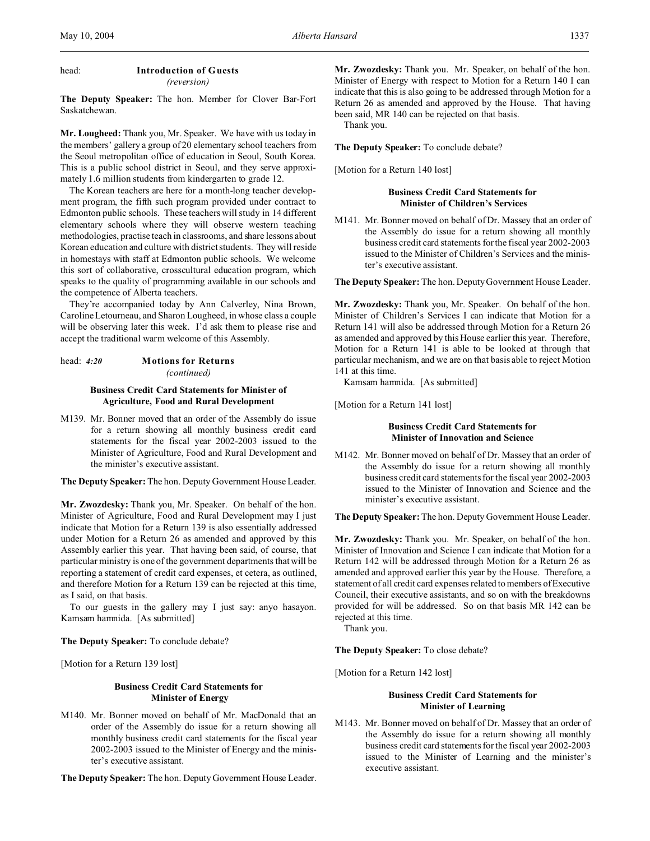# head: **Introduction of Guests** *(reversion)*

**The Deputy Speaker:** The hon. Member for Clover Bar-Fort Saskatchewan.

**Mr. Lougheed:** Thank you, Mr. Speaker. We have with us today in the members' gallery a group of 20 elementary school teachers from the Seoul metropolitan office of education in Seoul, South Korea. This is a public school district in Seoul, and they serve approximately 1.6 million students from kindergarten to grade 12.

The Korean teachers are here for a month-long teacher development program, the fifth such program provided under contract to Edmonton public schools. These teachers will study in 14 different elementary schools where they will observe western teaching methodologies, practise teach in classrooms, and share lessons about Korean education and culture with district students. They will reside in homestays with staff at Edmonton public schools. We welcome this sort of collaborative, crosscultural education program, which speaks to the quality of programming available in our schools and the competence of Alberta teachers.

They're accompanied today by Ann Calverley, Nina Brown, Caroline Letourneau, and Sharon Lougheed, in whose class a couple will be observing later this week. I'd ask them to please rise and accept the traditional warm welcome of this Assembly.

# head: *4:20* **Motions for Returns** *(continued)*

# **Business Credit Card Statements for Minister of Agriculture, Food and Rural Development**

M139. Mr. Bonner moved that an order of the Assembly do issue for a return showing all monthly business credit card statements for the fiscal year 2002-2003 issued to the Minister of Agriculture, Food and Rural Development and the minister's executive assistant.

**The Deputy Speaker:** The hon. Deputy Government House Leader.

**Mr. Zwozdesky:** Thank you, Mr. Speaker. On behalf of the hon. Minister of Agriculture, Food and Rural Development may I just indicate that Motion for a Return 139 is also essentially addressed under Motion for a Return 26 as amended and approved by this Assembly earlier this year. That having been said, of course, that particular ministry is one of the government departments that will be reporting a statement of credit card expenses, et cetera, as outlined, and therefore Motion for a Return 139 can be rejected at this time, as I said, on that basis.

To our guests in the gallery may I just say: anyo hasayon. Kamsam hamnida. [As submitted]

**The Deputy Speaker:** To conclude debate?

[Motion for a Return 139 lost]

### **Business Credit Card Statements for Minister of Energy**

M140. Mr. Bonner moved on behalf of Mr. MacDonald that an order of the Assembly do issue for a return showing all monthly business credit card statements for the fiscal year 2002-2003 issued to the Minister of Energy and the minister's executive assistant.

**The Deputy Speaker:** The hon. Deputy Government House Leader.

**Mr. Zwozdesky:** Thank you. Mr. Speaker, on behalf of the hon. Minister of Energy with respect to Motion for a Return 140 I can indicate that this is also going to be addressed through Motion for a Return 26 as amended and approved by the House. That having been said, MR 140 can be rejected on that basis.

Thank you.

**The Deputy Speaker:** To conclude debate?

[Motion for a Return 140 lost]

# **Business Credit Card Statements for Minister of Children's Services**

M141. Mr. Bonner moved on behalf of Dr. Massey that an order of the Assembly do issue for a return showing all monthly business credit card statements for the fiscal year 2002-2003 issued to the Minister of Children's Services and the minister's executive assistant.

**The Deputy Speaker:** The hon. Deputy Government House Leader.

**Mr. Zwozdesky:** Thank you, Mr. Speaker. On behalf of the hon. Minister of Children's Services I can indicate that Motion for a Return 141 will also be addressed through Motion for a Return 26 as amended and approved by this House earlier this year. Therefore, Motion for a Return 141 is able to be looked at through that particular mechanism, and we are on that basis able to reject Motion 141 at this time.

Kamsam hamnida. [As submitted]

[Motion for a Return 141 lost]

# **Business Credit Card Statements for Minister of Innovation and Science**

M142. Mr. Bonner moved on behalf of Dr. Massey that an order of the Assembly do issue for a return showing all monthly business credit card statements for the fiscal year 2002-2003 issued to the Minister of Innovation and Science and the minister's executive assistant.

**The Deputy Speaker:** The hon. Deputy Government House Leader.

**Mr. Zwozdesky:** Thank you. Mr. Speaker, on behalf of the hon. Minister of Innovation and Science I can indicate that Motion for a Return 142 will be addressed through Motion for a Return 26 as amended and approved earlier this year by the House. Therefore, a statement of all credit card expenses related to members of Executive Council, their executive assistants, and so on with the breakdowns provided for will be addressed. So on that basis MR 142 can be rejected at this time.

Thank you.

**The Deputy Speaker:** To close debate?

[Motion for a Return 142 lost]

# **Business Credit Card Statements for Minister of Learning**

M143. Mr. Bonner moved on behalf of Dr. Massey that an order of the Assembly do issue for a return showing all monthly business credit card statements for the fiscal year 2002-2003 issued to the Minister of Learning and the minister's executive assistant.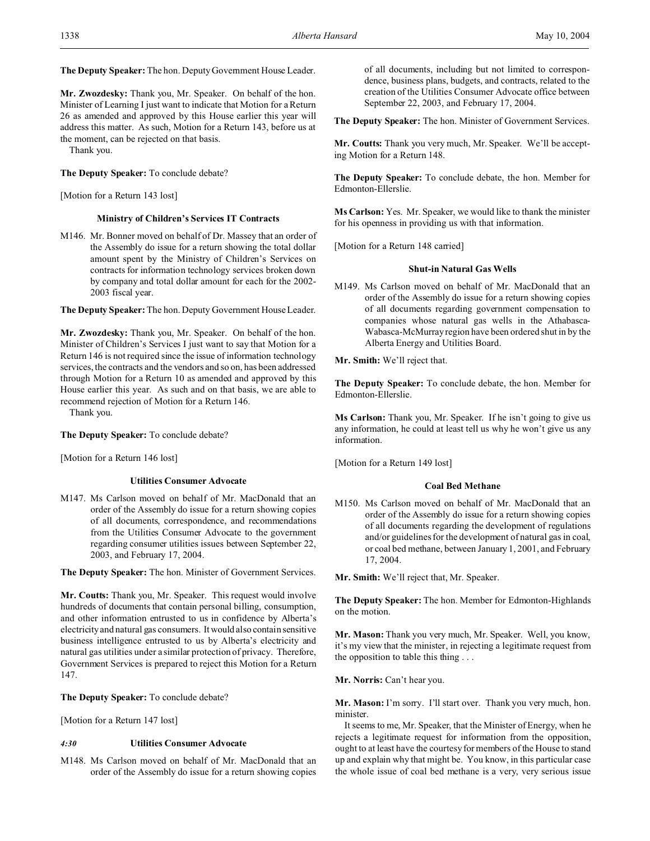**The Deputy Speaker:** The hon. Deputy Government House Leader.

**Mr. Zwozdesky:** Thank you, Mr. Speaker. On behalf of the hon. Minister of Learning I just want to indicate that Motion for a Return 26 as amended and approved by this House earlier this year will address this matter. As such, Motion for a Return 143, before us at the moment, can be rejected on that basis.

Thank you.

# **The Deputy Speaker:** To conclude debate?

[Motion for a Return 143 lost]

### **Ministry of Children's Services IT Contracts**

M146. Mr. Bonner moved on behalf of Dr. Massey that an order of the Assembly do issue for a return showing the total dollar amount spent by the Ministry of Children's Services on contracts for information technology services broken down by company and total dollar amount for each for the 2002- 2003 fiscal year.

**The Deputy Speaker:** The hon. Deputy Government House Leader.

**Mr. Zwozdesky:** Thank you, Mr. Speaker. On behalf of the hon. Minister of Children's Services I just want to say that Motion for a Return 146 is not required since the issue of information technology services, the contracts and the vendors and so on, has been addressed through Motion for a Return 10 as amended and approved by this House earlier this year. As such and on that basis, we are able to recommend rejection of Motion for a Return 146.

Thank you.

**The Deputy Speaker:** To conclude debate?

[Motion for a Return 146 lost]

# **Utilities Consumer Advocate**

M147. Ms Carlson moved on behalf of Mr. MacDonald that an order of the Assembly do issue for a return showing copies of all documents, correspondence, and recommendations from the Utilities Consumer Advocate to the government regarding consumer utilities issues between September 22, 2003, and February 17, 2004.

**The Deputy Speaker:** The hon. Minister of Government Services.

**Mr. Coutts:** Thank you, Mr. Speaker. This request would involve hundreds of documents that contain personal billing, consumption, and other information entrusted to us in confidence by Alberta's electricity and natural gas consumers. It would also contain sensitive business intelligence entrusted to us by Alberta's electricity and natural gas utilities under a similar protection of privacy. Therefore, Government Services is prepared to reject this Motion for a Return 147.

**The Deputy Speaker:** To conclude debate?

[Motion for a Return 147 lost]

### *4:30* **Utilities Consumer Advocate**

M148. Ms Carlson moved on behalf of Mr. MacDonald that an order of the Assembly do issue for a return showing copies of all documents, including but not limited to correspondence, business plans, budgets, and contracts, related to the creation of the Utilities Consumer Advocate office between September 22, 2003, and February 17, 2004.

**The Deputy Speaker:** The hon. Minister of Government Services.

**Mr. Coutts:** Thank you very much, Mr. Speaker. We'll be accepting Motion for a Return 148.

**The Deputy Speaker:** To conclude debate, the hon. Member for Edmonton-Ellerslie.

**Ms Carlson:** Yes. Mr. Speaker, we would like to thank the minister for his openness in providing us with that information.

[Motion for a Return 148 carried]

# **Shut-in Natural Gas Wells**

M149. Ms Carlson moved on behalf of Mr. MacDonald that an order of the Assembly do issue for a return showing copies of all documents regarding government compensation to companies whose natural gas wells in the Athabasca-Wabasca-McMurray region have been ordered shut in by the Alberta Energy and Utilities Board.

**Mr. Smith:** We'll reject that.

**The Deputy Speaker:** To conclude debate, the hon. Member for Edmonton-Ellerslie.

**Ms Carlson:** Thank you, Mr. Speaker. If he isn't going to give us any information, he could at least tell us why he won't give us any information.

[Motion for a Return 149 lost]

# **Coal Bed Methane**

M150. Ms Carlson moved on behalf of Mr. MacDonald that an order of the Assembly do issue for a return showing copies of all documents regarding the development of regulations and/or guidelines for the development of natural gas in coal, or coal bed methane, between January 1, 2001, and February 17, 2004.

**Mr. Smith:** We'll reject that, Mr. Speaker.

**The Deputy Speaker:** The hon. Member for Edmonton-Highlands on the motion.

**Mr. Mason:** Thank you very much, Mr. Speaker. Well, you know, it's my view that the minister, in rejecting a legitimate request from the opposition to table this thing . . .

**Mr. Norris:** Can't hear you.

**Mr. Mason:** I'm sorry. I'll start over. Thank you very much, hon. minister.

It seems to me, Mr. Speaker, that the Minister of Energy, when he rejects a legitimate request for information from the opposition, ought to at least have the courtesy for members of the House to stand up and explain why that might be. You know, in this particular case the whole issue of coal bed methane is a very, very serious issue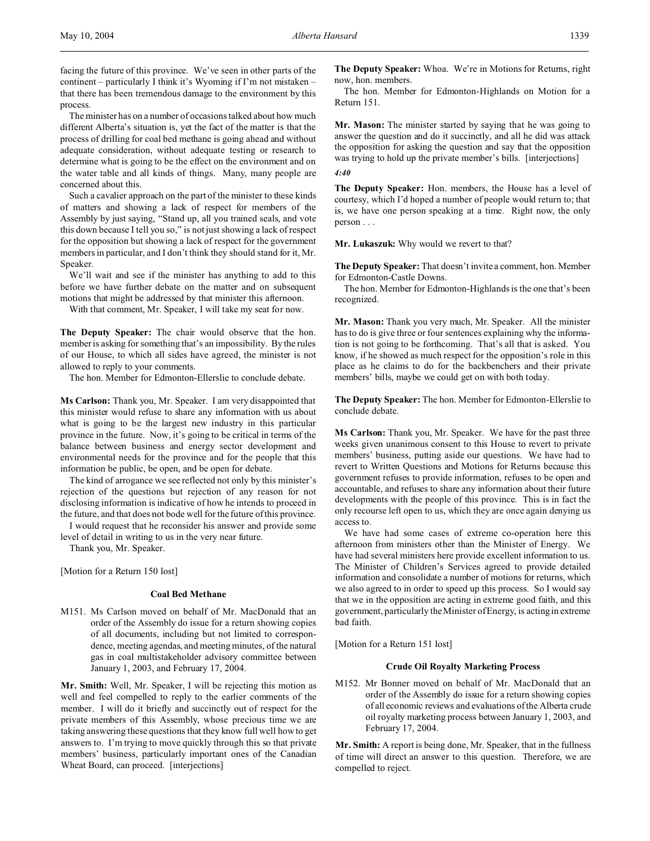facing the future of this province. We've seen in other parts of the continent – particularly I think it's Wyoming if I'm not mistaken – that there has been tremendous damage to the environment by this process.

The minister has on a number of occasions talked about how much different Alberta's situation is, yet the fact of the matter is that the process of drilling for coal bed methane is going ahead and without adequate consideration, without adequate testing or research to determine what is going to be the effect on the environment and on the water table and all kinds of things. Many, many people are concerned about this.

Such a cavalier approach on the part of the minister to these kinds of matters and showing a lack of respect for members of the Assembly by just saying, "Stand up, all you trained seals, and vote this down because I tell you so," is not just showing a lack of respect for the opposition but showing a lack of respect for the government members in particular, and I don't think they should stand for it, Mr. Speaker.

We'll wait and see if the minister has anything to add to this before we have further debate on the matter and on subsequent motions that might be addressed by that minister this afternoon.

With that comment, Mr. Speaker, I will take my seat for now.

**The Deputy Speaker:** The chair would observe that the hon. member is asking for something that's an impossibility. By the rules of our House, to which all sides have agreed, the minister is not allowed to reply to your comments.

The hon. Member for Edmonton-Ellerslie to conclude debate.

**Ms Carlson:** Thank you, Mr. Speaker. I am very disappointed that this minister would refuse to share any information with us about what is going to be the largest new industry in this particular province in the future. Now, it's going to be critical in terms of the balance between business and energy sector development and environmental needs for the province and for the people that this information be public, be open, and be open for debate.

The kind of arrogance we see reflected not only by this minister's rejection of the questions but rejection of any reason for not disclosing information is indicative of how he intends to proceed in the future, and that does not bode well for the future of this province.

I would request that he reconsider his answer and provide some level of detail in writing to us in the very near future.

Thank you, Mr. Speaker.

[Motion for a Return 150 lost]

# **Coal Bed Methane**

M151. Ms Carlson moved on behalf of Mr. MacDonald that an order of the Assembly do issue for a return showing copies of all documents, including but not limited to correspondence, meeting agendas, and meeting minutes, of the natural gas in coal multistakeholder advisory committee between January 1, 2003, and February 17, 2004.

**Mr. Smith:** Well, Mr. Speaker, I will be rejecting this motion as well and feel compelled to reply to the earlier comments of the member. I will do it briefly and succinctly out of respect for the private members of this Assembly, whose precious time we are taking answering these questions that they know full well how to get answers to. I'm trying to move quickly through this so that private members' business, particularly important ones of the Canadian Wheat Board, can proceed. [interjections]

**The Deputy Speaker:** Whoa. We're in Motions for Returns, right now, hon. members.

The hon. Member for Edmonton-Highlands on Motion for a Return 151.

**Mr. Mason:** The minister started by saying that he was going to answer the question and do it succinctly, and all he did was attack the opposition for asking the question and say that the opposition was trying to hold up the private member's bills. [interjections] *4:40*

**The Deputy Speaker:** Hon. members, the House has a level of courtesy, which I'd hoped a number of people would return to; that is, we have one person speaking at a time. Right now, the only person . . .

**Mr. Lukaszuk:** Why would we revert to that?

**The Deputy Speaker:** That doesn't invite a comment, hon. Member for Edmonton-Castle Downs.

The hon. Member for Edmonton-Highlands is the one that's been recognized.

**Mr. Mason:** Thank you very much, Mr. Speaker. All the minister has to do is give three or four sentences explaining why the information is not going to be forthcoming. That's all that is asked. You know, if he showed as much respect for the opposition's role in this place as he claims to do for the backbenchers and their private members' bills, maybe we could get on with both today.

**The Deputy Speaker:** The hon. Member for Edmonton-Ellerslie to conclude debate.

**Ms Carlson:** Thank you, Mr. Speaker. We have for the past three weeks given unanimous consent to this House to revert to private members' business, putting aside our questions. We have had to revert to Written Questions and Motions for Returns because this government refuses to provide information, refuses to be open and accountable, and refuses to share any information about their future developments with the people of this province. This is in fact the only recourse left open to us, which they are once again denying us access to.

We have had some cases of extreme co-operation here this afternoon from ministers other than the Minister of Energy. We have had several ministers here provide excellent information to us. The Minister of Children's Services agreed to provide detailed information and consolidate a number of motions for returns, which we also agreed to in order to speed up this process. So I would say that we in the opposition are acting in extreme good faith, and this government, particularly the Minister of Energy, is acting in extreme bad faith.

[Motion for a Return 151 lost]

### **Crude Oil Royalty Marketing Process**

M152. Mr Bonner moved on behalf of Mr. MacDonald that an order of the Assembly do issue for a return showing copies of all economic reviews and evaluations of the Alberta crude oil royalty marketing process between January 1, 2003, and February 17, 2004.

**Mr. Smith:** A report is being done, Mr. Speaker, that in the fullness of time will direct an answer to this question. Therefore, we are compelled to reject.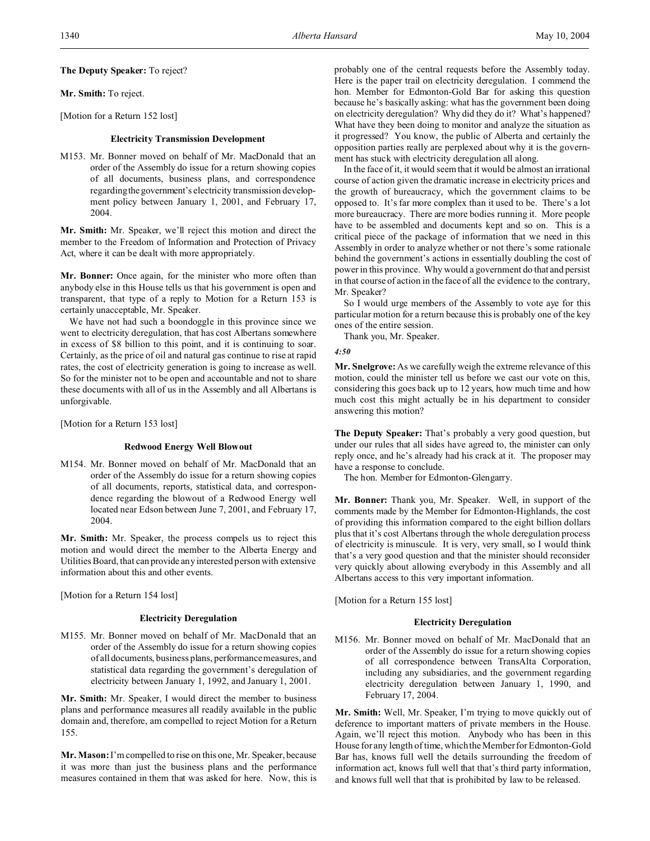# **The Deputy Speaker:** To reject?

# **Mr. Smith:** To reject.

[Motion for a Return 152 lost]

#### **Electricity Transmission Development**

M153. Mr. Bonner moved on behalf of Mr. MacDonald that an order of the Assembly do issue for a return showing copies of all documents, business plans, and correspondence regarding the government's electricity transmission development policy between January 1, 2001, and February 17, 2004.

**Mr. Smith:** Mr. Speaker, we'll reject this motion and direct the member to the Freedom of Information and Protection of Privacy Act, where it can be dealt with more appropriately.

**Mr. Bonner:** Once again, for the minister who more often than anybody else in this House tells us that his government is open and transparent, that type of a reply to Motion for a Return 153 is certainly unacceptable, Mr. Speaker.

We have not had such a boondoggle in this province since we went to electricity deregulation, that has cost Albertans somewhere in excess of \$8 billion to this point, and it is continuing to soar. Certainly, as the price of oil and natural gas continue to rise at rapid rates, the cost of electricity generation is going to increase as well. So for the minister not to be open and accountable and not to share these documents with all of us in the Assembly and all Albertans is unforgivable.

[Motion for a Return 153 lost]

#### **Redwood Energy Well Blowout**

M154. Mr. Bonner moved on behalf of Mr. MacDonald that an order of the Assembly do issue for a return showing copies of all documents, reports, statistical data, and correspondence regarding the blowout of a Redwood Energy well located near Edson between June 7, 2001, and February 17, 2004.

**Mr. Smith:** Mr. Speaker, the process compels us to reject this motion and would direct the member to the Alberta Energy and Utilities Board, that can provide any interested person with extensive information about this and other events.

[Motion for a Return 154 lost]

# **Electricity Deregulation**

M155. Mr. Bonner moved on behalf of Mr. MacDonald that an order of the Assembly do issue for a return showing copies of all documents, business plans, performance measures, and statistical data regarding the government's deregulation of electricity between January 1, 1992, and January 1, 2001.

**Mr. Smith:** Mr. Speaker, I would direct the member to business plans and performance measures all readily available in the public domain and, therefore, am compelled to reject Motion for a Return 155.

**Mr. Mason:** I'm compelled to rise on this one, Mr. Speaker, because it was more than just the business plans and the performance measures contained in them that was asked for here. Now, this is

probably one of the central requests before the Assembly today. Here is the paper trail on electricity deregulation. I commend the hon. Member for Edmonton-Gold Bar for asking this question because he's basically asking: what has the government been doing on electricity deregulation? Why did they do it? What's happened? What have they been doing to monitor and analyze the situation as it progressed? You know, the public of Alberta and certainly the opposition parties really are perplexed about why it is the government has stuck with electricity deregulation all along.

In the face of it, it would seem that it would be almost an irrational course of action given the dramatic increase in electricity prices and the growth of bureaucracy, which the government claims to be opposed to. It's far more complex than it used to be. There's a lot more bureaucracy. There are more bodies running it. More people have to be assembled and documents kept and so on. This is a critical piece of the package of information that we need in this Assembly in order to analyze whether or not there's some rationale behind the government's actions in essentially doubling the cost of power in this province. Why would a government do that and persist in that course of action in the face of all the evidence to the contrary, Mr. Speaker?

So I would urge members of the Assembly to vote aye for this particular motion for a return because this is probably one of the key ones of the entire session.

Thank you, Mr. Speaker.

#### *4:50*

**Mr. Snelgrove:** As we carefully weigh the extreme relevance of this motion, could the minister tell us before we cast our vote on this, considering this goes back up to 12 years, how much time and how much cost this might actually be in his department to consider answering this motion?

**The Deputy Speaker:** That's probably a very good question, but under our rules that all sides have agreed to, the minister can only reply once, and he's already had his crack at it. The proposer may have a response to conclude.

The hon. Member for Edmonton-Glengarry.

**Mr. Bonner:** Thank you, Mr. Speaker. Well, in support of the comments made by the Member for Edmonton-Highlands, the cost of providing this information compared to the eight billion dollars plus that it's cost Albertans through the whole deregulation process of electricity is minuscule. It is very, very small, so I would think that's a very good question and that the minister should reconsider very quickly about allowing everybody in this Assembly and all Albertans access to this very important information.

[Motion for a Return 155 lost]

### **Electricity Deregulation**

M156. Mr. Bonner moved on behalf of Mr. MacDonald that an order of the Assembly do issue for a return showing copies of all correspondence between TransAlta Corporation, including any subsidiaries, and the government regarding electricity deregulation between January 1, 1990, and February 17, 2004.

**Mr. Smith:** Well, Mr. Speaker, I'm trying to move quickly out of deference to important matters of private members in the House. Again, we'll reject this motion. Anybody who has been in this House for any length of time, which the Member for Edmonton-Gold Bar has, knows full well the details surrounding the freedom of information act, knows full well that that's third party information, and knows full well that that is prohibited by law to be released.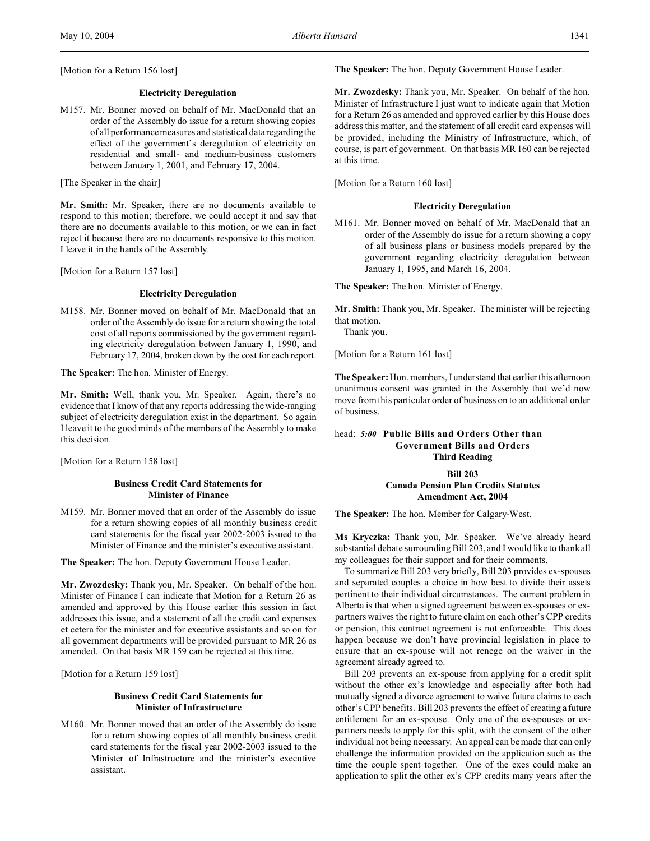[Motion for a Return 156 lost]

# **Electricity Deregulation**

M157. Mr. Bonner moved on behalf of Mr. MacDonald that an order of the Assembly do issue for a return showing copies of all performance measures and statistical data regarding the effect of the government's deregulation of electricity on residential and small- and medium-business customers between January 1, 2001, and February 17, 2004.

[The Speaker in the chair]

**Mr. Smith:** Mr. Speaker, there are no documents available to respond to this motion; therefore, we could accept it and say that there are no documents available to this motion, or we can in fact reject it because there are no documents responsive to this motion. I leave it in the hands of the Assembly.

[Motion for a Return 157 lost]

#### **Electricity Deregulation**

M158. Mr. Bonner moved on behalf of Mr. MacDonald that an order of the Assembly do issue for a return showing the total cost of all reports commissioned by the government regarding electricity deregulation between January 1, 1990, and February 17, 2004, broken down by the cost for each report.

**The Speaker:** The hon. Minister of Energy.

**Mr. Smith:** Well, thank you, Mr. Speaker. Again, there's no evidence that I know of that any reports addressing the wide-ranging subject of electricity deregulation exist in the department. So again I leave it to the good minds of the members of the Assembly to make this decision.

[Motion for a Return 158 lost]

# **Business Credit Card Statements for Minister of Finance**

M159. Mr. Bonner moved that an order of the Assembly do issue for a return showing copies of all monthly business credit card statements for the fiscal year 2002-2003 issued to the Minister of Finance and the minister's executive assistant.

**The Speaker:** The hon. Deputy Government House Leader.

**Mr. Zwozdesky:** Thank you, Mr. Speaker. On behalf of the hon. Minister of Finance I can indicate that Motion for a Return 26 as amended and approved by this House earlier this session in fact addresses this issue, and a statement of all the credit card expenses et cetera for the minister and for executive assistants and so on for all government departments will be provided pursuant to MR 26 as amended. On that basis MR 159 can be rejected at this time.

[Motion for a Return 159 lost]

# **Business Credit Card Statements for Minister of Infrastructure**

M160. Mr. Bonner moved that an order of the Assembly do issue for a return showing copies of all monthly business credit card statements for the fiscal year 2002-2003 issued to the Minister of Infrastructure and the minister's executive assistant.

**The Speaker:** The hon. Deputy Government House Leader.

**Mr. Zwozdesky:** Thank you, Mr. Speaker. On behalf of the hon. Minister of Infrastructure I just want to indicate again that Motion for a Return 26 as amended and approved earlier by this House does address this matter, and the statement of all credit card expenses will be provided, including the Ministry of Infrastructure, which, of course, is part of government. On that basis MR 160 can be rejected at this time.

[Motion for a Return 160 lost]

#### **Electricity Deregulation**

M161. Mr. Bonner moved on behalf of Mr. MacDonald that an order of the Assembly do issue for a return showing a copy of all business plans or business models prepared by the government regarding electricity deregulation between January 1, 1995, and March 16, 2004.

**The Speaker:** The hon. Minister of Energy.

**Mr. Smith:** Thank you, Mr. Speaker. The minister will be rejecting that motion.

Thank you.

[Motion for a Return 161 lost]

**The Speaker:**Hon. members, I understand that earlier this afternoon unanimous consent was granted in the Assembly that we'd now move from this particular order of business on to an additional order of business.

# head: *5:00* **Public Bills and Orders Other than Government Bills and Orders Third Reading**

**Bill 203**

**Canada Pension Plan Credits Statutes Amendment Act, 2004**

**The Speaker:** The hon. Member for Calgary-West.

**Ms Kryczka:** Thank you, Mr. Speaker. We've already heard substantial debate surrounding Bill 203, and I would like to thank all my colleagues for their support and for their comments.

To summarize Bill 203 very briefly, Bill 203 provides ex-spouses and separated couples a choice in how best to divide their assets pertinent to their individual circumstances. The current problem in Alberta is that when a signed agreement between ex-spouses or expartners waives the right to future claim on each other's CPP credits or pension, this contract agreement is not enforceable. This does happen because we don't have provincial legislation in place to ensure that an ex-spouse will not renege on the waiver in the agreement already agreed to.

Bill 203 prevents an ex-spouse from applying for a credit split without the other ex's knowledge and especially after both had mutually signed a divorce agreement to waive future claims to each other's CPP benefits. Bill 203 prevents the effect of creating a future entitlement for an ex-spouse. Only one of the ex-spouses or expartners needs to apply for this split, with the consent of the other individual not being necessary. An appeal can be made that can only challenge the information provided on the application such as the time the couple spent together. One of the exes could make an application to split the other ex's CPP credits many years after the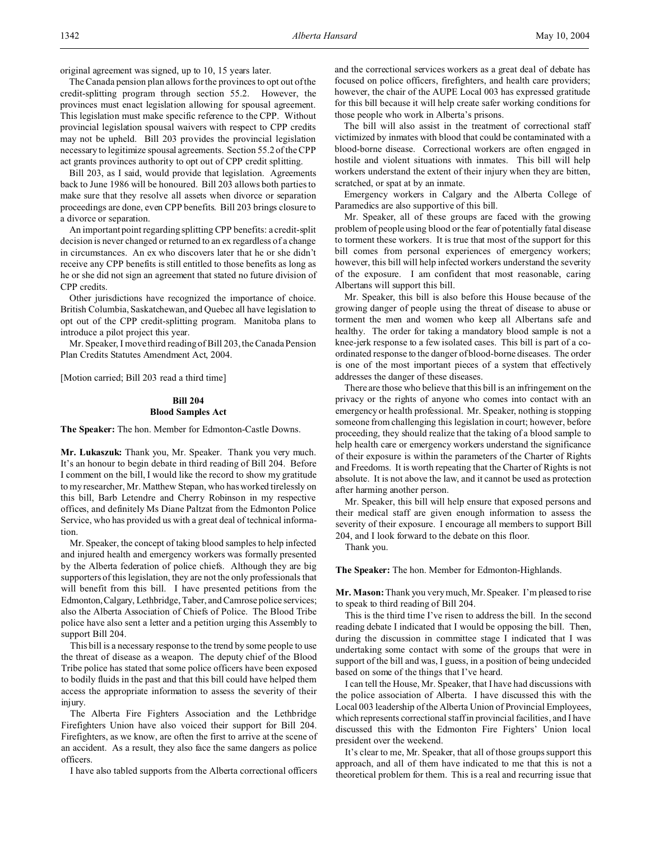original agreement was signed, up to 10, 15 years later.

The Canada pension plan allows for the provinces to opt out of the credit-splitting program through section 55.2. However, the provinces must enact legislation allowing for spousal agreement. This legislation must make specific reference to the CPP. Without provincial legislation spousal waivers with respect to CPP credits may not be upheld. Bill 203 provides the provincial legislation necessary to legitimize spousal agreements. Section 55.2 of the CPP act grants provinces authority to opt out of CPP credit splitting.

Bill 203, as I said, would provide that legislation. Agreements back to June 1986 will be honoured. Bill 203 allows both parties to make sure that they resolve all assets when divorce or separation proceedings are done, even CPP benefits. Bill 203 brings closure to a divorce or separation.

An important point regarding splitting CPP benefits: a credit-split decision is never changed or returned to an ex regardless of a change in circumstances. An ex who discovers later that he or she didn't receive any CPP benefits is still entitled to those benefits as long as he or she did not sign an agreement that stated no future division of CPP credits.

Other jurisdictions have recognized the importance of choice. British Columbia, Saskatchewan, and Quebec all have legislation to opt out of the CPP credit-splitting program. Manitoba plans to introduce a pilot project this year.

Mr. Speaker, I move third reading of Bill 203, the Canada Pension Plan Credits Statutes Amendment Act, 2004.

[Motion carried; Bill 203 read a third time]

# **Bill 204 Blood Samples Act**

**The Speaker:** The hon. Member for Edmonton-Castle Downs.

**Mr. Lukaszuk:** Thank you, Mr. Speaker. Thank you very much. It's an honour to begin debate in third reading of Bill 204. Before I comment on the bill, I would like the record to show my gratitude to my researcher, Mr. Matthew Stepan, who has worked tirelessly on this bill, Barb Letendre and Cherry Robinson in my respective offices, and definitely Ms Diane Paltzat from the Edmonton Police Service, who has provided us with a great deal of technical information.

Mr. Speaker, the concept of taking blood samples to help infected and injured health and emergency workers was formally presented by the Alberta federation of police chiefs. Although they are big supporters of this legislation, they are not the only professionals that will benefit from this bill. I have presented petitions from the Edmonton,Calgary, Lethbridge, Taber, and Camrose police services; also the Alberta Association of Chiefs of Police. The Blood Tribe police have also sent a letter and a petition urging this Assembly to support Bill 204.

This bill is a necessary response to the trend by some people to use the threat of disease as a weapon. The deputy chief of the Blood Tribe police has stated that some police officers have been exposed to bodily fluids in the past and that this bill could have helped them access the appropriate information to assess the severity of their injury.

The Alberta Fire Fighters Association and the Lethbridge Firefighters Union have also voiced their support for Bill 204. Firefighters, as we know, are often the first to arrive at the scene of an accident. As a result, they also face the same dangers as police officers.

I have also tabled supports from the Alberta correctional officers

and the correctional services workers as a great deal of debate has focused on police officers, firefighters, and health care providers; however, the chair of the AUPE Local 003 has expressed gratitude for this bill because it will help create safer working conditions for those people who work in Alberta's prisons.

The bill will also assist in the treatment of correctional staff victimized by inmates with blood that could be contaminated with a blood-borne disease. Correctional workers are often engaged in hostile and violent situations with inmates. This bill will help workers understand the extent of their injury when they are bitten, scratched, or spat at by an inmate.

Emergency workers in Calgary and the Alberta College of Paramedics are also supportive of this bill.

Mr. Speaker, all of these groups are faced with the growing problem of people using blood or the fear of potentially fatal disease to torment these workers. It is true that most of the support for this bill comes from personal experiences of emergency workers; however, this bill will help infected workers understand the severity of the exposure. I am confident that most reasonable, caring Albertans will support this bill.

Mr. Speaker, this bill is also before this House because of the growing danger of people using the threat of disease to abuse or torment the men and women who keep all Albertans safe and healthy. The order for taking a mandatory blood sample is not a knee-jerk response to a few isolated cases. This bill is part of a coordinated response to the danger of blood-borne diseases. The order is one of the most important pieces of a system that effectively addresses the danger of these diseases.

There are those who believe that this bill is an infringement on the privacy or the rights of anyone who comes into contact with an emergency or health professional. Mr. Speaker, nothing is stopping someone from challenging this legislation in court; however, before proceeding, they should realize that the taking of a blood sample to help health care or emergency workers understand the significance of their exposure is within the parameters of the Charter of Rights and Freedoms. It is worth repeating that the Charter of Rights is not absolute. It is not above the law, and it cannot be used as protection after harming another person.

Mr. Speaker, this bill will help ensure that exposed persons and their medical staff are given enough information to assess the severity of their exposure. I encourage all members to support Bill 204, and I look forward to the debate on this floor.

Thank you.

**The Speaker:** The hon. Member for Edmonton-Highlands.

**Mr. Mason:** Thank you very much, Mr. Speaker. I'm pleased to rise to speak to third reading of Bill 204.

This is the third time I've risen to address the bill. In the second reading debate I indicated that I would be opposing the bill. Then, during the discussion in committee stage I indicated that I was undertaking some contact with some of the groups that were in support of the bill and was, I guess, in a position of being undecided based on some of the things that I've heard.

I can tell the House, Mr. Speaker, that I have had discussions with the police association of Alberta. I have discussed this with the Local 003 leadership of the Alberta Union of Provincial Employees, which represents correctional staff in provincial facilities, and I have discussed this with the Edmonton Fire Fighters' Union local president over the weekend.

It's clear to me, Mr. Speaker, that all of those groups support this approach, and all of them have indicated to me that this is not a theoretical problem for them. This is a real and recurring issue that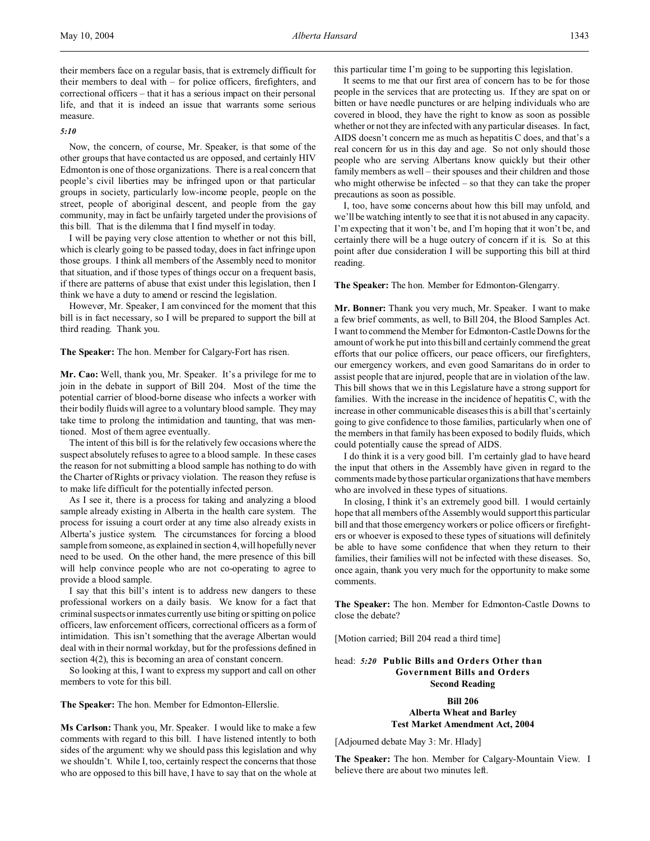their members face on a regular basis, that is extremely difficult for their members to deal with – for police officers, firefighters, and correctional officers – that it has a serious impact on their personal life, and that it is indeed an issue that warrants some serious measure.

#### *5:10*

Now, the concern, of course, Mr. Speaker, is that some of the other groups that have contacted us are opposed, and certainly HIV Edmonton is one of those organizations. There is a real concern that people's civil liberties may be infringed upon or that particular groups in society, particularly low-income people, people on the street, people of aboriginal descent, and people from the gay community, may in fact be unfairly targeted under the provisions of this bill. That is the dilemma that I find myself in today.

I will be paying very close attention to whether or not this bill, which is clearly going to be passed today, does in fact infringe upon those groups. I think all members of the Assembly need to monitor that situation, and if those types of things occur on a frequent basis, if there are patterns of abuse that exist under this legislation, then I think we have a duty to amend or rescind the legislation.

However, Mr. Speaker, I am convinced for the moment that this bill is in fact necessary, so I will be prepared to support the bill at third reading. Thank you.

**The Speaker:** The hon. Member for Calgary-Fort has risen.

**Mr. Cao:** Well, thank you, Mr. Speaker. It's a privilege for me to join in the debate in support of Bill 204. Most of the time the potential carrier of blood-borne disease who infects a worker with their bodily fluids will agree to a voluntary blood sample. They may take time to prolong the intimidation and taunting, that was mentioned. Most of them agree eventually.

The intent of this bill is for the relatively few occasions where the suspect absolutely refuses to agree to a blood sample. In these cases the reason for not submitting a blood sample has nothing to do with the Charter of Rights or privacy violation. The reason they refuse is to make life difficult for the potentially infected person.

As I see it, there is a process for taking and analyzing a blood sample already existing in Alberta in the health care system. The process for issuing a court order at any time also already exists in Alberta's justice system. The circumstances for forcing a blood sample from someone, as explained in section 4, will hopefully never need to be used. On the other hand, the mere presence of this bill will help convince people who are not co-operating to agree to provide a blood sample.

I say that this bill's intent is to address new dangers to these professional workers on a daily basis. We know for a fact that criminal suspects or inmates currently use biting or spitting on police officers, law enforcement officers, correctional officers as a form of intimidation. This isn't something that the average Albertan would deal with in their normal workday, but for the professions defined in section 4(2), this is becoming an area of constant concern.

So looking at this, I want to express my support and call on other members to vote for this bill.

**The Speaker:** The hon. Member for Edmonton-Ellerslie.

**Ms Carlson:** Thank you, Mr. Speaker. I would like to make a few comments with regard to this bill. I have listened intently to both sides of the argument: why we should pass this legislation and why we shouldn't. While I, too, certainly respect the concerns that those who are opposed to this bill have, I have to say that on the whole at this particular time I'm going to be supporting this legislation.

It seems to me that our first area of concern has to be for those people in the services that are protecting us. If they are spat on or bitten or have needle punctures or are helping individuals who are covered in blood, they have the right to know as soon as possible whether or not they are infected with any particular diseases. In fact, AIDS doesn't concern me as much as hepatitis C does, and that's a real concern for us in this day and age. So not only should those people who are serving Albertans know quickly but their other family members as well – their spouses and their children and those who might otherwise be infected – so that they can take the proper precautions as soon as possible.

I, too, have some concerns about how this bill may unfold, and we'll be watching intently to see that it is not abused in any capacity. I'm expecting that it won't be, and I'm hoping that it won't be, and certainly there will be a huge outcry of concern if it is. So at this point after due consideration I will be supporting this bill at third reading.

**The Speaker:** The hon. Member for Edmonton-Glengarry.

**Mr. Bonner:** Thank you very much, Mr. Speaker. I want to make a few brief comments, as well, to Bill 204, the Blood Samples Act. I want to commend the Member for Edmonton-Castle Downs for the amount of work he put into this bill and certainly commend the great efforts that our police officers, our peace officers, our firefighters, our emergency workers, and even good Samaritans do in order to assist people that are injured, people that are in violation of the law. This bill shows that we in this Legislature have a strong support for families. With the increase in the incidence of hepatitis C, with the increase in other communicable diseases this is a bill that's certainly going to give confidence to those families, particularly when one of the members in that family has been exposed to bodily fluids, which could potentially cause the spread of AIDS.

I do think it is a very good bill. I'm certainly glad to have heard the input that others in the Assembly have given in regard to the comments made by those particular organizations that have members who are involved in these types of situations.

In closing, I think it's an extremely good bill. I would certainly hope that all members of the Assembly would support this particular bill and that those emergency workers or police officers or firefighters or whoever is exposed to these types of situations will definitely be able to have some confidence that when they return to their families, their families will not be infected with these diseases. So, once again, thank you very much for the opportunity to make some comments.

**The Speaker:** The hon. Member for Edmonton-Castle Downs to close the debate?

[Motion carried; Bill 204 read a third time]

# head: *5:20* **Public Bills and Orders Other than Government Bills and Orders Second Reading**

**Bill 206 Alberta Wheat and Barley Test Market Amendment Act, 2004**

[Adjourned debate May 3: Mr. Hlady]

**The Speaker:** The hon. Member for Calgary-Mountain View. I believe there are about two minutes left.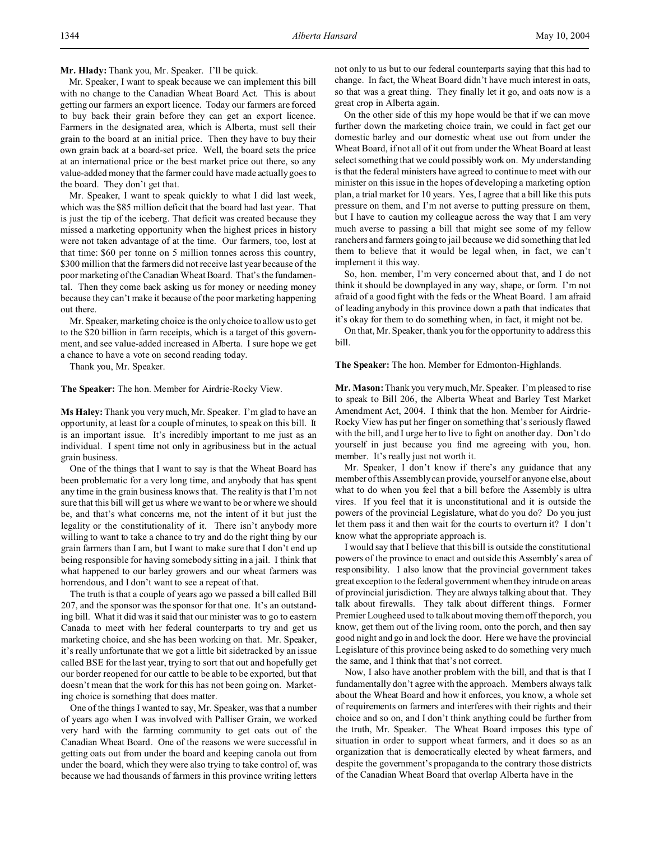Mr. Speaker, I want to speak because we can implement this bill with no change to the Canadian Wheat Board Act. This is about getting our farmers an export licence. Today our farmers are forced to buy back their grain before they can get an export licence. Farmers in the designated area, which is Alberta, must sell their grain to the board at an initial price. Then they have to buy their own grain back at a board-set price. Well, the board sets the price at an international price or the best market price out there, so any value-added money that the farmer could have made actually goes to the board. They don't get that.

Mr. Speaker, I want to speak quickly to what I did last week, which was the \$85 million deficit that the board had last year. That is just the tip of the iceberg. That deficit was created because they missed a marketing opportunity when the highest prices in history were not taken advantage of at the time. Our farmers, too, lost at that time: \$60 per tonne on 5 million tonnes across this country, \$300 million that the farmers did not receive last year because of the poor marketing of the Canadian Wheat Board. That's the fundamental. Then they come back asking us for money or needing money because they can't make it because of the poor marketing happening out there.

Mr. Speaker, marketing choice is the only choice to allow us to get to the \$20 billion in farm receipts, which is a target of this government, and see value-added increased in Alberta. I sure hope we get a chance to have a vote on second reading today.

Thank you, Mr. Speaker.

**The Speaker:** The hon. Member for Airdrie-Rocky View.

**Ms Haley:** Thank you very much, Mr. Speaker. I'm glad to have an opportunity, at least for a couple of minutes, to speak on this bill. It is an important issue. It's incredibly important to me just as an individual. I spent time not only in agribusiness but in the actual grain business.

One of the things that I want to say is that the Wheat Board has been problematic for a very long time, and anybody that has spent any time in the grain business knows that. The reality is that I'm not sure that this bill will get us where we want to be or where we should be, and that's what concerns me, not the intent of it but just the legality or the constitutionality of it. There isn't anybody more willing to want to take a chance to try and do the right thing by our grain farmers than I am, but I want to make sure that I don't end up being responsible for having somebody sitting in a jail. I think that what happened to our barley growers and our wheat farmers was horrendous, and I don't want to see a repeat of that.

The truth is that a couple of years ago we passed a bill called Bill 207, and the sponsor was the sponsor for that one. It's an outstanding bill. What it did was it said that our minister was to go to eastern Canada to meet with her federal counterparts to try and get us marketing choice, and she has been working on that. Mr. Speaker, it's really unfortunate that we got a little bit sidetracked by an issue called BSE for the last year, trying to sort that out and hopefully get our border reopened for our cattle to be able to be exported, but that doesn't mean that the work for this has not been going on. Marketing choice is something that does matter.

One of the things I wanted to say, Mr. Speaker, was that a number of years ago when I was involved with Palliser Grain, we worked very hard with the farming community to get oats out of the Canadian Wheat Board. One of the reasons we were successful in getting oats out from under the board and keeping canola out from under the board, which they were also trying to take control of, was because we had thousands of farmers in this province writing letters

not only to us but to our federal counterparts saying that this had to change. In fact, the Wheat Board didn't have much interest in oats, so that was a great thing. They finally let it go, and oats now is a great crop in Alberta again.

On the other side of this my hope would be that if we can move further down the marketing choice train, we could in fact get our domestic barley and our domestic wheat use out from under the Wheat Board, if not all of it out from under the Wheat Board at least select something that we could possibly work on. My understanding is that the federal ministers have agreed to continue to meet with our minister on this issue in the hopes of developing a marketing option plan, a trial market for 10 years. Yes, I agree that a bill like this puts pressure on them, and I'm not averse to putting pressure on them, but I have to caution my colleague across the way that I am very much averse to passing a bill that might see some of my fellow ranchers and farmers going to jail because we did something that led them to believe that it would be legal when, in fact, we can't implement it this way.

So, hon. member, I'm very concerned about that, and I do not think it should be downplayed in any way, shape, or form. I'm not afraid of a good fight with the feds or the Wheat Board. I am afraid of leading anybody in this province down a path that indicates that it's okay for them to do something when, in fact, it might not be.

On that, Mr. Speaker, thank you for the opportunity to address this bill.

#### **The Speaker:** The hon. Member for Edmonton-Highlands.

**Mr. Mason:** Thank you very much, Mr. Speaker. I'm pleased to rise to speak to Bill 206, the Alberta Wheat and Barley Test Market Amendment Act, 2004. I think that the hon. Member for Airdrie-Rocky View has put her finger on something that's seriously flawed with the bill, and I urge her to live to fight on another day. Don't do yourself in just because you find me agreeing with you, hon. member. It's really just not worth it.

Mr. Speaker, I don't know if there's any guidance that any member of this Assembly can provide, yourself or anyone else, about what to do when you feel that a bill before the Assembly is ultra vires. If you feel that it is unconstitutional and it is outside the powers of the provincial Legislature, what do you do? Do you just let them pass it and then wait for the courts to overturn it? I don't know what the appropriate approach is.

I would say that I believe that this bill is outside the constitutional powers of the province to enact and outside this Assembly's area of responsibility. I also know that the provincial government takes great exception to the federal government when they intrude on areas of provincial jurisdiction. They are always talking about that. They talk about firewalls. They talk about different things. Former Premier Lougheed used to talk about moving them off the porch, you know, get them out of the living room, onto the porch, and then say good night and go in and lock the door. Here we have the provincial Legislature of this province being asked to do something very much the same, and I think that that's not correct.

Now, I also have another problem with the bill, and that is that I fundamentally don't agree with the approach. Members always talk about the Wheat Board and how it enforces, you know, a whole set of requirements on farmers and interferes with their rights and their choice and so on, and I don't think anything could be further from the truth, Mr. Speaker. The Wheat Board imposes this type of situation in order to support wheat farmers, and it does so as an organization that is democratically elected by wheat farmers, and despite the government's propaganda to the contrary those districts of the Canadian Wheat Board that overlap Alberta have in the